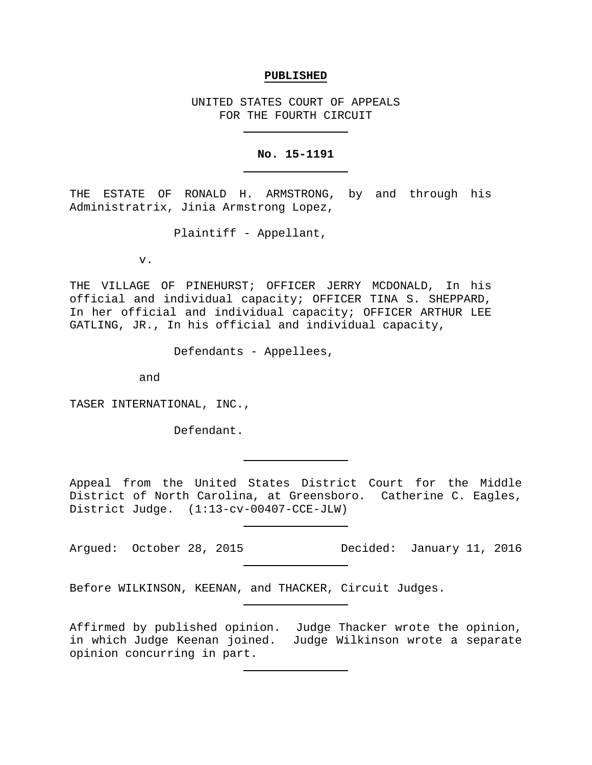#### **PUBLISHED**

UNITED STATES COURT OF APPEALS FOR THE FOURTH CIRCUIT

#### **No. 15-1191**

THE ESTATE OF RONALD H. ARMSTRONG, by and through his Administratrix, Jinia Armstrong Lopez,

Plaintiff - Appellant,

v.

THE VILLAGE OF PINEHURST; OFFICER JERRY MCDONALD, In his official and individual capacity; OFFICER TINA S. SHEPPARD, In her official and individual capacity; OFFICER ARTHUR LEE GATLING, JR., In his official and individual capacity,

Defendants - Appellees,

and

TASER INTERNATIONAL, INC.,

Defendant.

Appeal from the United States District Court for the Middle District of North Carolina, at Greensboro. Catherine C. Eagles, District Judge. (1:13-cv-00407-CCE-JLW)

Before WILKINSON, KEENAN, and THACKER, Circuit Judges.

Affirmed by published opinion. Judge Thacker wrote the opinion, in which Judge Keenan joined. Judge Wilkinson wrote a separate opinion concurring in part.

Argued: October 28, 2015 Decided: January 11, 2016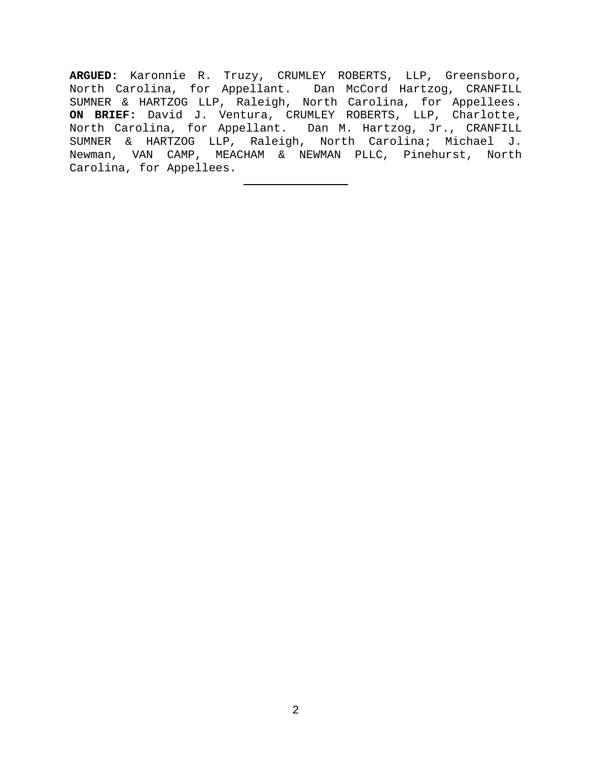**ARGUED:** Karonnie R. Truzy, CRUMLEY ROBERTS, LLP, Greensboro, North Carolina, for Appellant. Dan McCord Hartzog, CRANFILL SUMNER & HARTZOG LLP, Raleigh, North Carolina, for Appellees. **ON BRIEF:** David J. Ventura, CRUMLEY ROBERTS, LLP, Charlotte, North Carolina, for Appellant. Dan M. Hartzog, Jr., CRANFILL SUMNER & HARTZOG LLP, Raleigh, North Carolina; Michael J. Newman, VAN CAMP, MEACHAM & NEWMAN PLLC, Pinehurst, North Carolina, for Appellees.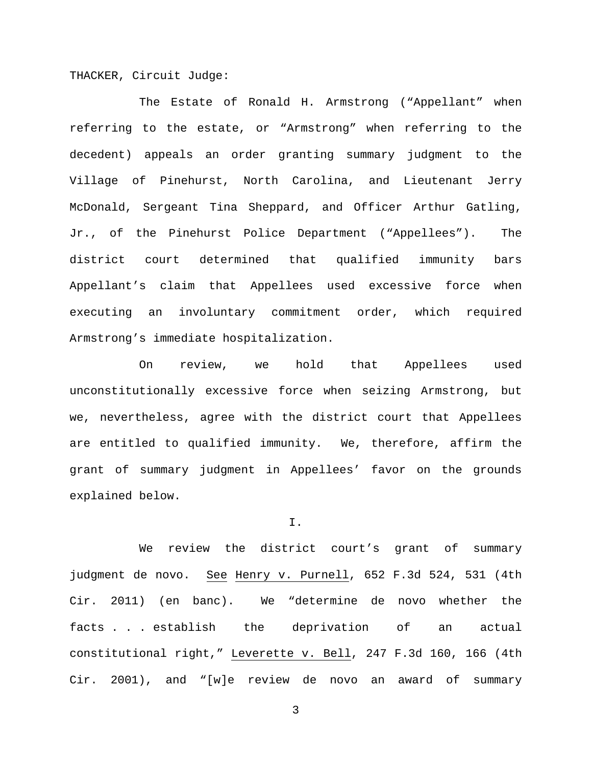THACKER, Circuit Judge:

The Estate of Ronald H. Armstrong ("Appellant" when referring to the estate, or "Armstrong" when referring to the decedent) appeals an order granting summary judgment to the Village of Pinehurst, North Carolina, and Lieutenant Jerry McDonald, Sergeant Tina Sheppard, and Officer Arthur Gatling, Jr., of the Pinehurst Police Department ("Appellees"). The district court determined that qualified immunity bars Appellant's claim that Appellees used excessive force when executing an involuntary commitment order, which required Armstrong's immediate hospitalization.

On review, we hold that Appellees used unconstitutionally excessive force when seizing Armstrong, but we, nevertheless, agree with the district court that Appellees are entitled to qualified immunity. We, therefore, affirm the grant of summary judgment in Appellees' favor on the grounds explained below.

I.

We review the district court's grant of summary judgment de novo. See Henry v. Purnell, 652 F.3d 524, 531 (4th Cir. 2011) (en banc). We "determine de novo whether the facts . . . establish the deprivation of an actual constitutional right," Leverette v. Bell, 247 F.3d 160, 166 (4th Cir. 2001), and "[w]e review de novo an award of summary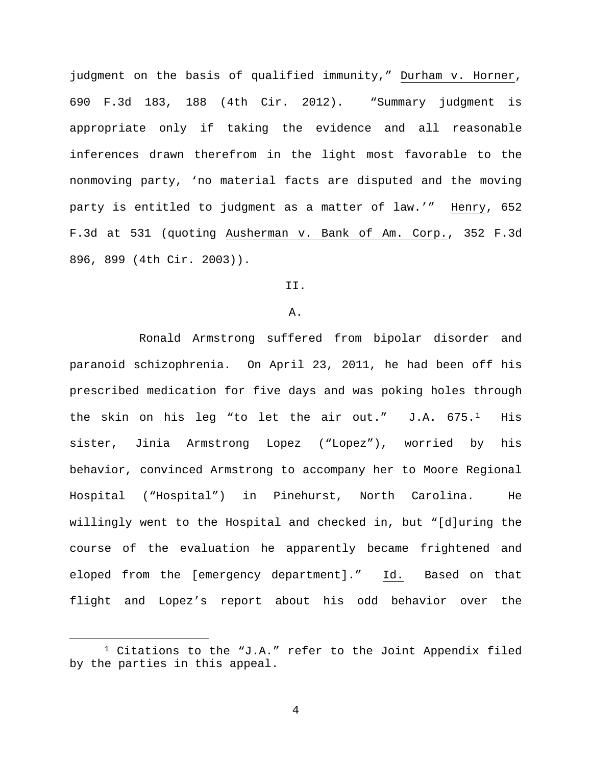judgment on the basis of qualified immunity," Durham v. Horner, 690 F.3d 183, 188 (4th Cir. 2012). "Summary judgment is appropriate only if taking the evidence and all reasonable inferences drawn therefrom in the light most favorable to the nonmoving party, 'no material facts are disputed and the moving party is entitled to judgment as a matter of law.'" Henry, 652 F.3d at 531 (quoting Ausherman v. Bank of Am. Corp., 352 F.3d 896, 899 (4th Cir. 2003)).

# II.

#### A.

Ronald Armstrong suffered from bipolar disorder and paranoid schizophrenia. On April 23, 2011, he had been off his prescribed medication for five days and was poking holes through the skin on his leg "to let the air out."  $J.A. 675.^1$  His sister, Jinia Armstrong Lopez ("Lopez"), worried by his behavior, convinced Armstrong to accompany her to Moore Regional Hospital ("Hospital") in Pinehurst, North Carolina. He willingly went to the Hospital and checked in, but "[d]uring the course of the evaluation he apparently became frightened and eloped from the [emergency department]." Id. Based on that flight and Lopez's report about his odd behavior over the

<span id="page-3-0"></span> $1$  Citations to the "J.A." refer to the Joint Appendix filed by the parties in this appeal.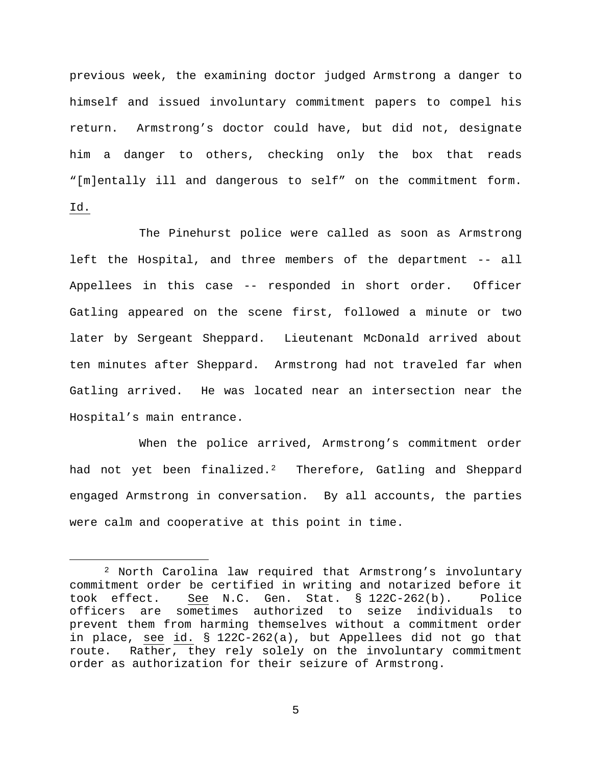previous week, the examining doctor judged Armstrong a danger to himself and issued involuntary commitment papers to compel his return. Armstrong's doctor could have, but did not, designate him a danger to others, checking only the box that reads "[m]entally ill and dangerous to self" on the commitment form. Id.

The Pinehurst police were called as soon as Armstrong left the Hospital, and three members of the department -- all Appellees in this case -- responded in short order. Officer Gatling appeared on the scene first, followed a minute or two later by Sergeant Sheppard. Lieutenant McDonald arrived about ten minutes after Sheppard. Armstrong had not traveled far when Gatling arrived. He was located near an intersection near the Hospital's main entrance.

When the police arrived, Armstrong's commitment order had not yet been finalized.<sup>[2](#page-4-0)</sup> Therefore, Gatling and Sheppard engaged Armstrong in conversation. By all accounts, the parties were calm and cooperative at this point in time.

<span id="page-4-0"></span> <sup>2</sup> North Carolina law required that Armstrong's involuntary commitment order be certified in writing and notarized before it took effect. See N.C. Gen. Stat. § 122C-262(b). Police officers are sometimes authorized to seize individuals to prevent them from harming themselves without a commitment order in place, see id. § 122C-262(a), but Appellees did not go that route. Rather, they rely solely on the involuntary commitment order as authorization for their seizure of Armstrong.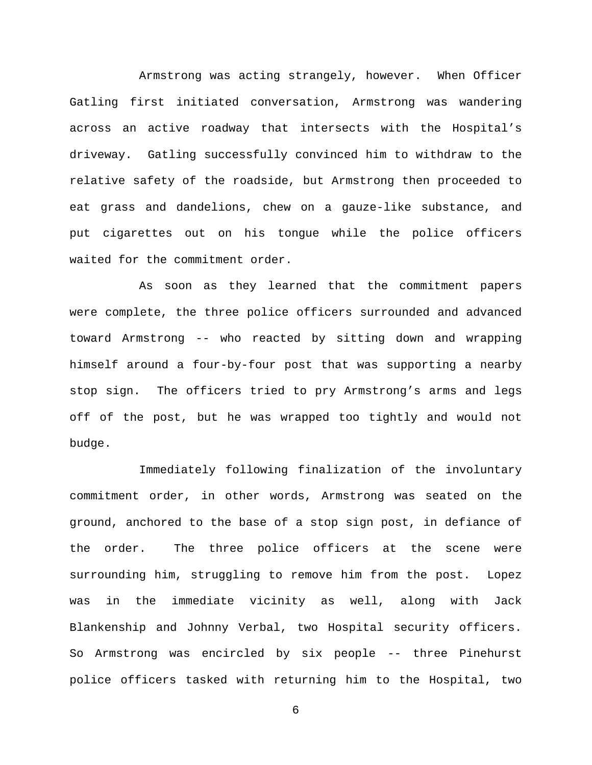Armstrong was acting strangely, however. When Officer Gatling first initiated conversation, Armstrong was wandering across an active roadway that intersects with the Hospital's driveway. Gatling successfully convinced him to withdraw to the relative safety of the roadside, but Armstrong then proceeded to eat grass and dandelions, chew on a gauze-like substance, and put cigarettes out on his tongue while the police officers waited for the commitment order.

As soon as they learned that the commitment papers were complete, the three police officers surrounded and advanced toward Armstrong -- who reacted by sitting down and wrapping himself around a four-by-four post that was supporting a nearby stop sign. The officers tried to pry Armstrong's arms and legs off of the post, but he was wrapped too tightly and would not budge.

Immediately following finalization of the involuntary commitment order, in other words, Armstrong was seated on the ground, anchored to the base of a stop sign post, in defiance of the order. The three police officers at the scene were surrounding him, struggling to remove him from the post. Lopez was in the immediate vicinity as well, along with Jack Blankenship and Johnny Verbal, two Hospital security officers. So Armstrong was encircled by six people -- three Pinehurst police officers tasked with returning him to the Hospital, two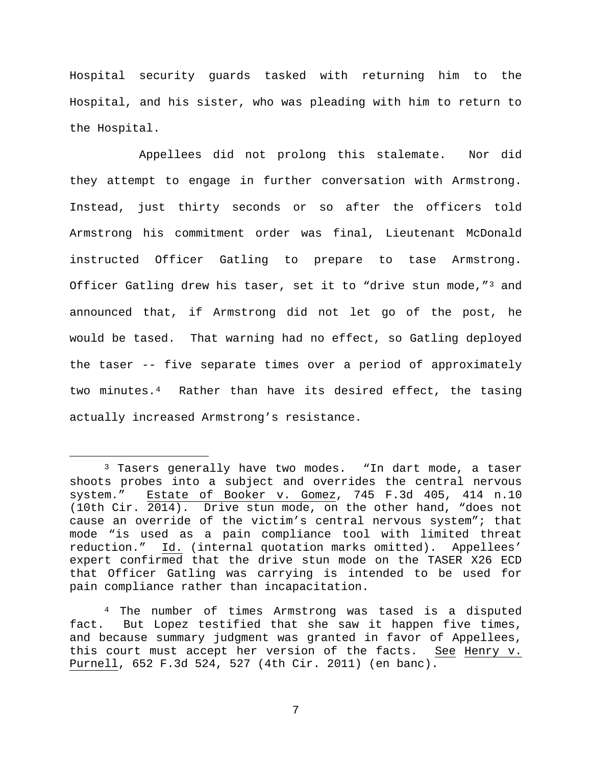Hospital security guards tasked with returning him to the Hospital, and his sister, who was pleading with him to return to the Hospital.

<span id="page-6-2"></span>Appellees did not prolong this stalemate. Nor did they attempt to engage in further conversation with Armstrong. Instead, just thirty seconds or so after the officers told Armstrong his commitment order was final, Lieutenant McDonald instructed Officer Gatling to prepare to tase Armstrong. Officer Gatling drew his taser, set it to "drive stun mode,"<sup>[3](#page-6-0)</sup> and announced that, if Armstrong did not let go of the post, he would be tased. That warning had no effect, so Gatling deployed the taser -- five separate times over a period of approximately two minutes.[4](#page-6-1) Rather than have its desired effect, the tasing actually increased Armstrong's resistance.

<span id="page-6-0"></span><sup>&</sup>lt;sup>3</sup> Tasers generally have two modes. "In dart mode, a taser shoots probes into a subject and overrides the central nervous system." Estate of Booker v. Gomez, 745 F.3d 405, 414 n.10 (10th Cir. 2014). Drive stun mode, on the other hand, "does not cause an override of the victim's central nervous system"; that mode "is used as a pain compliance tool with limited threat reduction." Id. (internal quotation marks omitted). Appellees' expert confirmed that the drive stun mode on the TASER X26 ECD that Officer Gatling was carrying is intended to be used for pain compliance rather than incapacitation.

<span id="page-6-1"></span><sup>4</sup> The number of times Armstrong was tased is a disputed fact. But Lopez testified that she saw it happen five times, and because summary judgment was granted in favor of Appellees, this court must accept her version of the facts. See Henry v. Purnell, 652 F.3d 524, 527 (4th Cir. 2011) (en banc).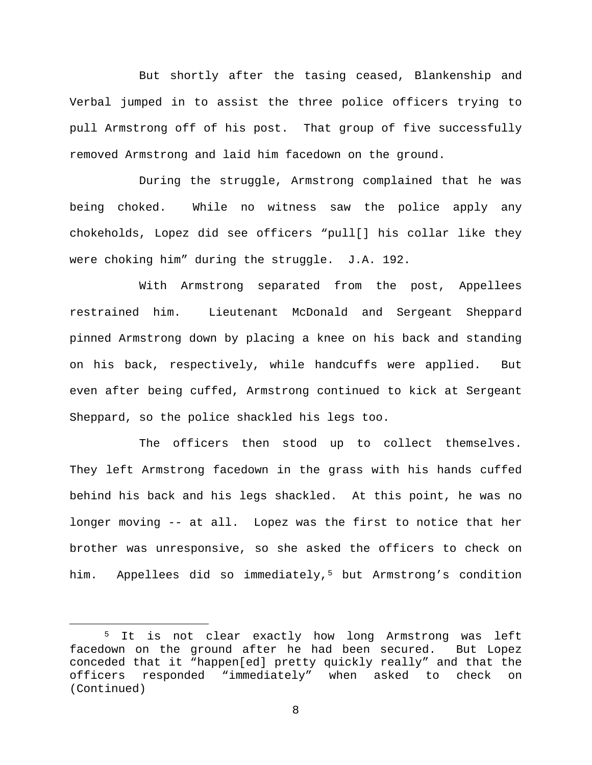But shortly after the tasing ceased, Blankenship and Verbal jumped in to assist the three police officers trying to pull Armstrong off of his post. That group of five successfully removed Armstrong and laid him facedown on the ground.

During the struggle, Armstrong complained that he was being choked. While no witness saw the police apply any chokeholds, Lopez did see officers "pull[] his collar like they were choking him" during the struggle. J.A. 192.

With Armstrong separated from the post, Appellees restrained him. Lieutenant McDonald and Sergeant Sheppard pinned Armstrong down by placing a knee on his back and standing on his back, respectively, while handcuffs were applied. But even after being cuffed, Armstrong continued to kick at Sergeant Sheppard, so the police shackled his legs too.

The officers then stood up to collect themselves. They left Armstrong facedown in the grass with his hands cuffed behind his back and his legs shackled. At this point, he was no longer moving -- at all. Lopez was the first to notice that her brother was unresponsive, so she asked the officers to check on him. Appellees did so immediately,<sup>[5](#page-7-0)</sup> but Armstrong's condition

<span id="page-7-0"></span> <sup>5</sup> It is not clear exactly how long Armstrong was left facedown on the ground after he had been secured. But Lopez conceded that it "happen[ed] pretty quickly really" and that the<br>officers responded "immediately" when asked to check on officers responded "immediately" when asked to check on (Continued)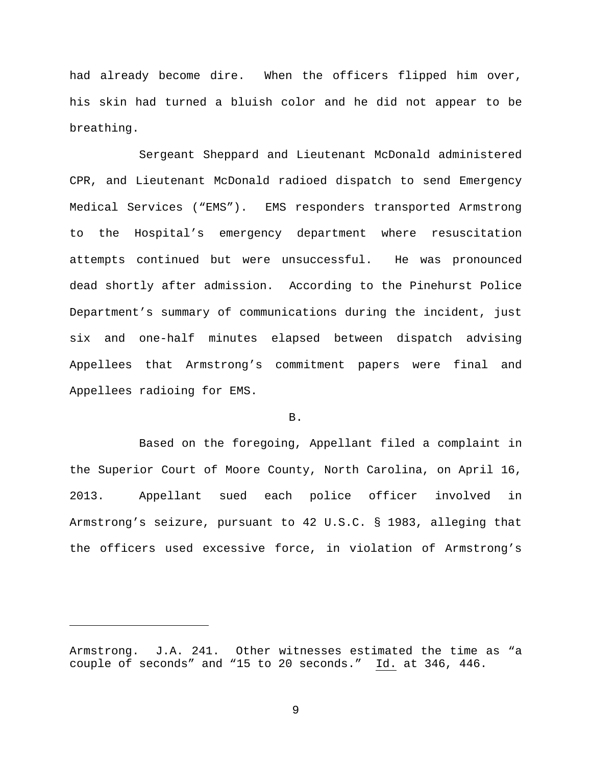had already become dire. When the officers flipped him over, his skin had turned a bluish color and he did not appear to be breathing.

Sergeant Sheppard and Lieutenant McDonald administered CPR, and Lieutenant McDonald radioed dispatch to send Emergency Medical Services ("EMS"). EMS responders transported Armstrong to the Hospital's emergency department where resuscitation attempts continued but were unsuccessful. He was pronounced dead shortly after admission. According to the Pinehurst Police Department's summary of communications during the incident, just six and one-half minutes elapsed between dispatch advising Appellees that Armstrong's commitment papers were final and Appellees radioing for EMS.

### B.

Based on the foregoing, Appellant filed a complaint in the Superior Court of Moore County, North Carolina, on April 16, 2013. Appellant sued each police officer involved in Armstrong's seizure, pursuant to 42 U.S.C. § 1983, alleging that the officers used excessive force, in violation of Armstrong's

ī

Armstrong. J.A. 241. Other witnesses estimated the time as "a couple of seconds" and "15 to 20 seconds." Id. at 346, 446.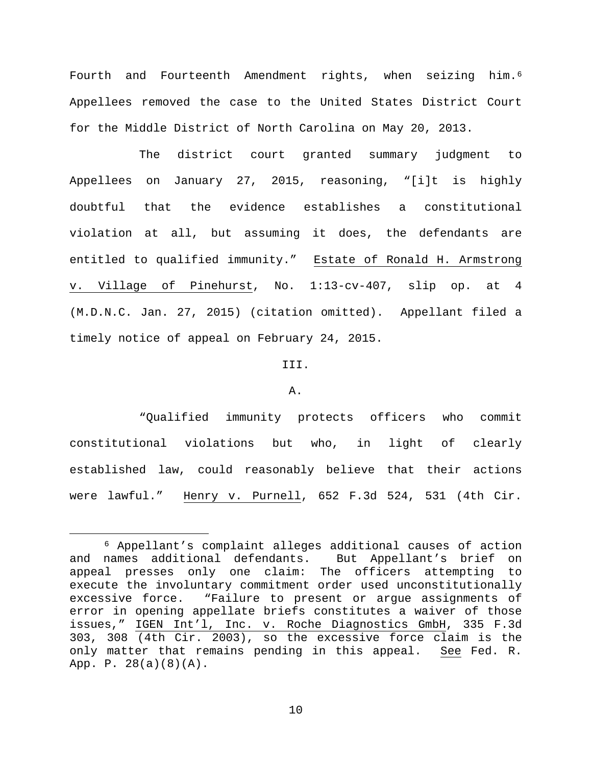Fourth and Fourteenth Amendment rights, when seizing him.<sup>[6](#page-9-0)</sup> Appellees removed the case to the United States District Court for the Middle District of North Carolina on May 20, 2013.

The district court granted summary judgment to Appellees on January 27, 2015, reasoning, "[i]t is highly doubtful that the evidence establishes a constitutional violation at all, but assuming it does, the defendants are entitled to qualified immunity." Estate of Ronald H. Armstrong v. Village of Pinehurst, No. 1:13-cv-407, slip op. at 4 (M.D.N.C. Jan. 27, 2015) (citation omitted). Appellant filed a timely notice of appeal on February 24, 2015.

### III.

### A.

"Qualified immunity protects officers who commit constitutional violations but who, in light of clearly established law, could reasonably believe that their actions were lawful." Henry v. Purnell, 652 F.3d 524, 531 (4th Cir.

<span id="page-9-0"></span> <sup>6</sup> Appellant's complaint alleges additional causes of action and names additional defendants. But Appellant's brief on appeal presses only one claim: The officers attempting to execute the involuntary commitment order used unconstitutionally excessive force. "Failure to present or argue assignments of error in opening appellate briefs constitutes a waiver of those issues," IGEN Int'l, Inc. v. Roche Diagnostics GmbH, 335 F.3d 303, 308 (4th Cir. 2003), so the excessive force claim is the only matter that remains pending in this appeal. See Fed. R. App. P. 28(a)(8)(A).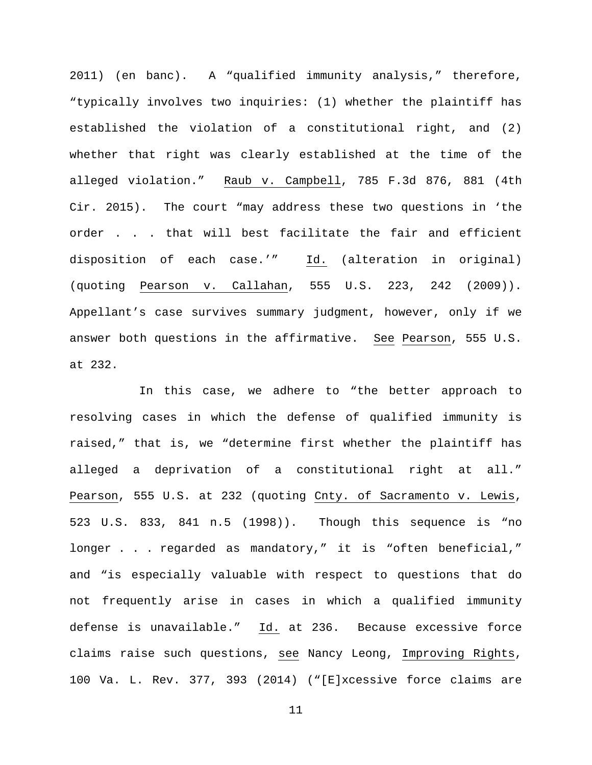2011) (en banc). A "qualified immunity analysis," therefore, "typically involves two inquiries: (1) whether the plaintiff has established the violation of a constitutional right, and (2) whether that right was clearly established at the time of the alleged violation." Raub v. Campbell, 785 F.3d 876, 881 (4th Cir. 2015). The court "may address these two questions in 'the order . . . that will best facilitate the fair and efficient disposition of each case.'" Id. (alteration in original) (quoting Pearson v. Callahan, 555 U.S. 223, 242 (2009)). Appellant's case survives summary judgment, however, only if we answer both questions in the affirmative. See Pearson, 555 U.S. at 232.

In this case, we adhere to "the better approach to resolving cases in which the defense of qualified immunity is raised," that is, we "determine first whether the plaintiff has alleged a deprivation of a constitutional right at all." Pearson, 555 U.S. at 232 (quoting Cnty. of Sacramento v. Lewis, 523 U.S. 833, 841 n.5 (1998)). Though this sequence is "no longer . . . regarded as mandatory," it is "often beneficial," and "is especially valuable with respect to questions that do not frequently arise in cases in which a qualified immunity defense is unavailable." Id. at 236. Because excessive force claims raise such questions, see Nancy Leong, Improving Rights, 100 Va. L. Rev. 377, 393 (2014) ("[E]xcessive force claims are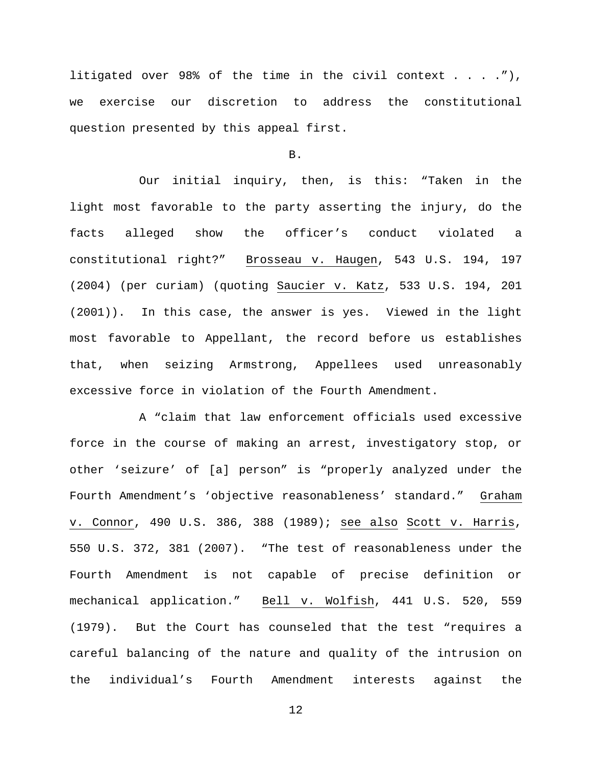litigated over 98% of the time in the civil context  $\dots$ ... we exercise our discretion to address the constitutional question presented by this appeal first.

B.

Our initial inquiry, then, is this: "Taken in the light most favorable to the party asserting the injury, do the facts alleged show the officer's conduct violated a constitutional right?" Brosseau v. Haugen, 543 U.S. 194, 197 (2004) (per curiam) (quoting Saucier v. Katz, 533 U.S. 194, 201 (2001)). In this case, the answer is yes. Viewed in the light most favorable to Appellant, the record before us establishes that, when seizing Armstrong, Appellees used unreasonably excessive force in violation of the Fourth Amendment.

A "claim that law enforcement officials used excessive force in the course of making an arrest, investigatory stop, or other 'seizure' of [a] person" is "properly analyzed under the Fourth Amendment's 'objective reasonableness' standard." Graham v. Connor, 490 U.S. 386, 388 (1989); see also Scott v. Harris, 550 U.S. 372, 381 (2007). "The test of reasonableness under the Fourth Amendment is not capable of precise definition or mechanical application." Bell v. Wolfish, 441 U.S. 520, 559 (1979). But the Court has counseled that the test "requires a careful balancing of the nature and quality of the intrusion on the individual's Fourth Amendment interests against the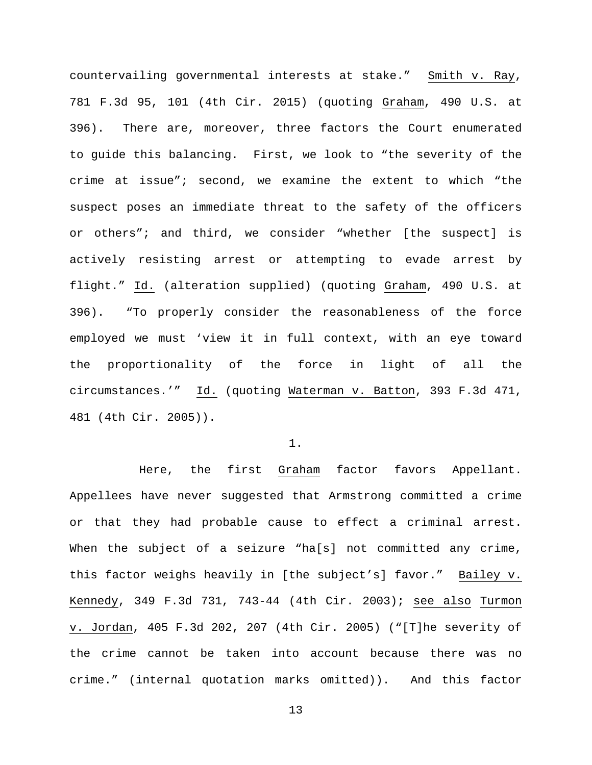countervailing governmental interests at stake." Smith v. Ray, 781 F.3d 95, 101 (4th Cir. 2015) (quoting Graham, 490 U.S. at 396). There are, moreover, three factors the Court enumerated to guide this balancing. First, we look to "the severity of the crime at issue"; second, we examine the extent to which "the suspect poses an immediate threat to the safety of the officers or others"; and third, we consider "whether [the suspect] is actively resisting arrest or attempting to evade arrest by flight." Id. (alteration supplied) (quoting Graham, 490 U.S. at 396). "To properly consider the reasonableness of the force employed we must 'view it in full context, with an eye toward the proportionality of the force in light of all the circumstances.'" Id. (quoting Waterman v. Batton, 393 F.3d 471, 481 (4th Cir. 2005)).

1.

Here, the first Graham factor favors Appellant. Appellees have never suggested that Armstrong committed a crime or that they had probable cause to effect a criminal arrest. When the subject of a seizure "ha[s] not committed any crime, this factor weighs heavily in [the subject's] favor." Bailey v. Kennedy, 349 F.3d 731, 743-44 (4th Cir. 2003); see also Turmon v. Jordan, 405 F.3d 202, 207 (4th Cir. 2005) ("[T]he severity of the crime cannot be taken into account because there was no crime." (internal quotation marks omitted)). And this factor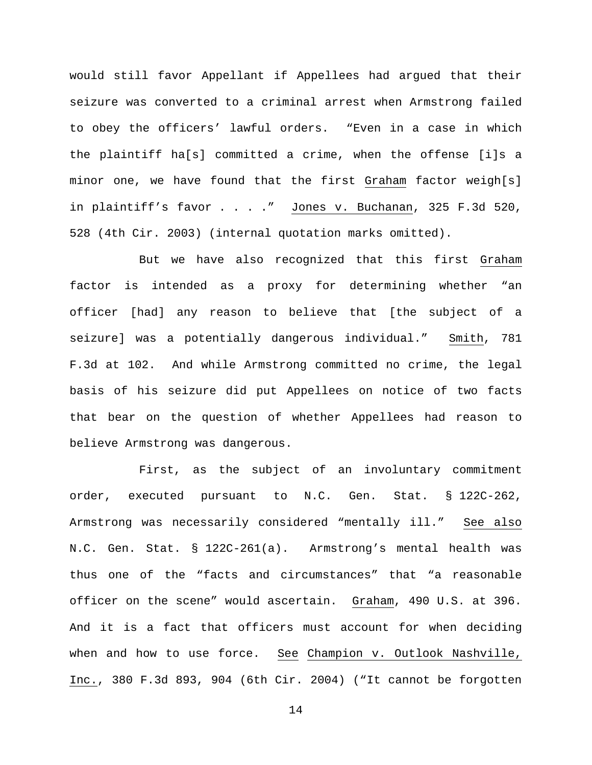would still favor Appellant if Appellees had argued that their seizure was converted to a criminal arrest when Armstrong failed to obey the officers' lawful orders. "Even in a case in which the plaintiff ha[s] committed a crime, when the offense [i]s a minor one, we have found that the first Graham factor weigh[s] in plaintiff's favor . . . ." Jones v. Buchanan, 325 F.3d 520, 528 (4th Cir. 2003) (internal quotation marks omitted).

But we have also recognized that this first Graham factor is intended as a proxy for determining whether "an officer [had] any reason to believe that [the subject of a seizure] was a potentially dangerous individual." Smith, 781 F.3d at 102. And while Armstrong committed no crime, the legal basis of his seizure did put Appellees on notice of two facts that bear on the question of whether Appellees had reason to believe Armstrong was dangerous.

First, as the subject of an involuntary commitment order, executed pursuant to N.C. Gen. Stat. § 122C-262, Armstrong was necessarily considered "mentally ill." See also N.C. Gen. Stat. § 122C-261(a). Armstrong's mental health was thus one of the "facts and circumstances" that "a reasonable officer on the scene" would ascertain. Graham, 490 U.S. at 396. And it is a fact that officers must account for when deciding when and how to use force. See Champion v. Outlook Nashville, Inc., 380 F.3d 893, 904 (6th Cir. 2004) ("It cannot be forgotten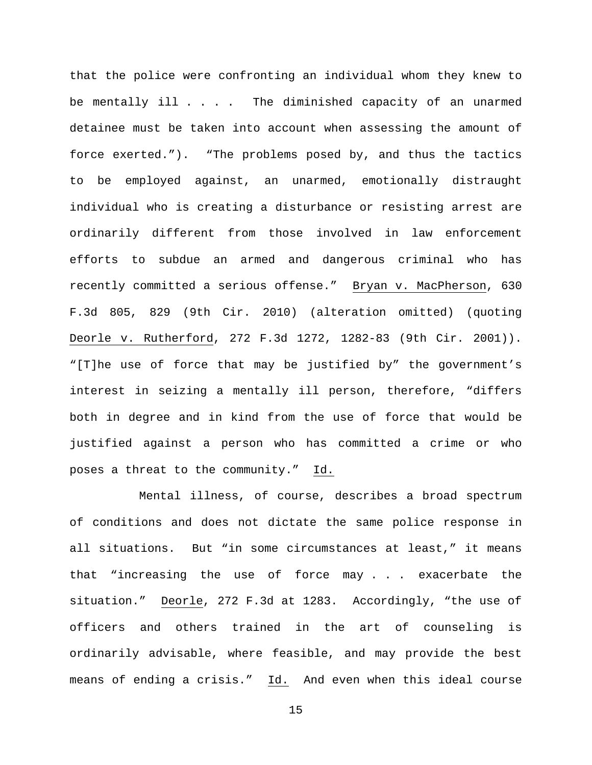that the police were confronting an individual whom they knew to be mentally ill . . . . The diminished capacity of an unarmed detainee must be taken into account when assessing the amount of force exerted."). "The problems posed by, and thus the tactics to be employed against, an unarmed, emotionally distraught individual who is creating a disturbance or resisting arrest are ordinarily different from those involved in law enforcement efforts to subdue an armed and dangerous criminal who has recently committed a serious offense." Bryan v. MacPherson, 630 F.3d 805, 829 (9th Cir. 2010) (alteration omitted) (quoting Deorle v. Rutherford, 272 F.3d 1272, 1282-83 (9th Cir. 2001)). "[T]he use of force that may be justified by" the government's interest in seizing a mentally ill person, therefore, "differs both in degree and in kind from the use of force that would be justified against a person who has committed a crime or who poses a threat to the community." Id.

Mental illness, of course, describes a broad spectrum of conditions and does not dictate the same police response in all situations. But "in some circumstances at least," it means that "increasing the use of force may . . . exacerbate the situation." Deorle, 272 F.3d at 1283. Accordingly, "the use of officers and others trained in the art of counseling is ordinarily advisable, where feasible, and may provide the best means of ending a crisis." Id. And even when this ideal course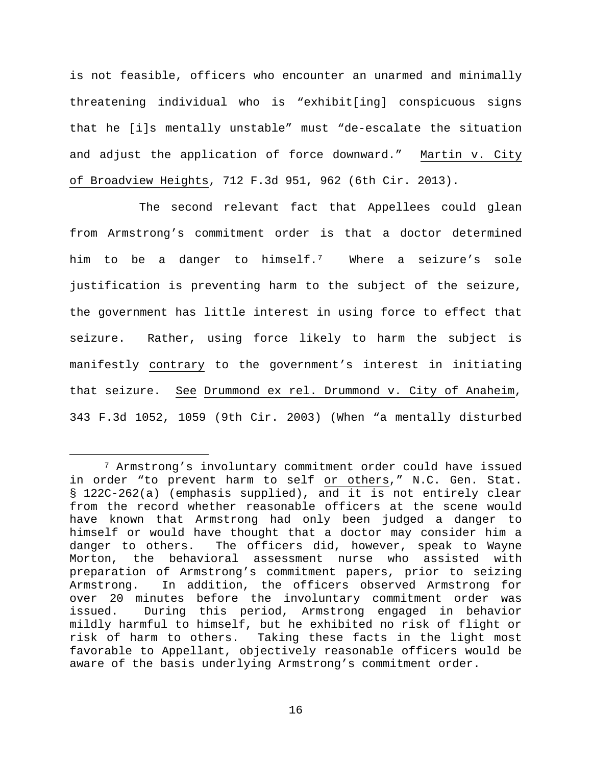is not feasible, officers who encounter an unarmed and minimally threatening individual who is "exhibit[ing] conspicuous signs that he [i]s mentally unstable" must "de-escalate the situation and adjust the application of force downward." Martin v. City of Broadview Heights, 712 F.3d 951, 962 (6th Cir. 2013).

The second relevant fact that Appellees could glean from Armstrong's commitment order is that a doctor determined him to be a danger to himself.[7](#page-15-0) Where a seizure's sole justification is preventing harm to the subject of the seizure, the government has little interest in using force to effect that seizure. Rather, using force likely to harm the subject is manifestly contrary to the government's interest in initiating that seizure. See Drummond ex rel. Drummond v. City of Anaheim, 343 F.3d 1052, 1059 (9th Cir. 2003) (When "a mentally disturbed

<span id="page-15-0"></span> <sup>7</sup> Armstrong's involuntary commitment order could have issued in order "to prevent harm to self or others," N.C. Gen. Stat. § 122C-262(a) (emphasis supplied), and it is not entirely clear from the record whether reasonable officers at the scene would have known that Armstrong had only been judged a danger to himself or would have thought that a doctor may consider him a danger to others. The officers did, however, speak to Wayne Morton, the behavioral assessment nurse who assisted with preparation of Armstrong's commitment papers, prior to seizing Armstrong. In addition, the officers observed Armstrong for over 20 minutes before the involuntary commitment order was issued. During this period, Armstrong engaged in behavior mildly harmful to himself, but he exhibited no risk of flight or risk of harm to others. Taking these facts in the light most favorable to Appellant, objectively reasonable officers would be aware of the basis underlying Armstrong's commitment order.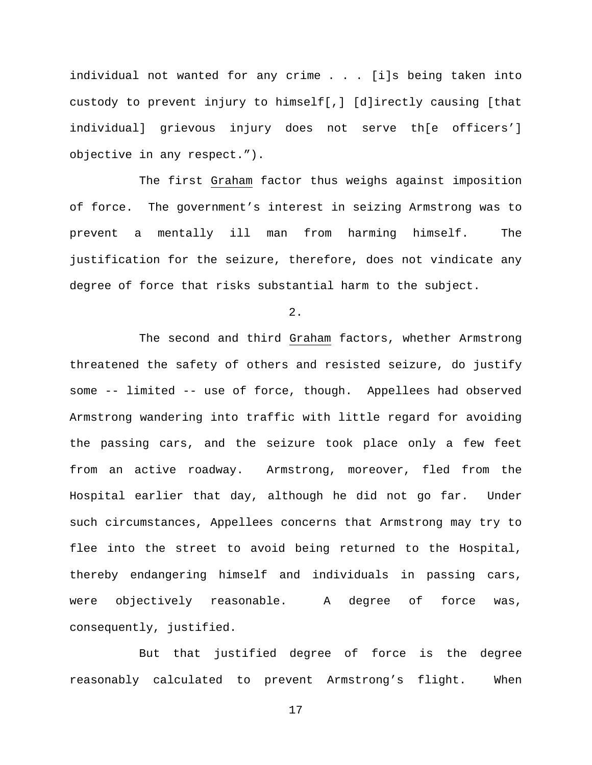individual not wanted for any crime . . . [i]s being taken into custody to prevent injury to himself[,] [d]irectly causing [that individual] grievous injury does not serve th[e officers'] objective in any respect.").

The first Graham factor thus weighs against imposition of force. The government's interest in seizing Armstrong was to prevent a mentally ill man from harming himself. The justification for the seizure, therefore, does not vindicate any degree of force that risks substantial harm to the subject.

 $2.$ 

The second and third Graham factors, whether Armstrong threatened the safety of others and resisted seizure, do justify some -- limited -- use of force, though. Appellees had observed Armstrong wandering into traffic with little regard for avoiding the passing cars, and the seizure took place only a few feet from an active roadway. Armstrong, moreover, fled from the Hospital earlier that day, although he did not go far. Under such circumstances, Appellees concerns that Armstrong may try to flee into the street to avoid being returned to the Hospital, thereby endangering himself and individuals in passing cars, were objectively reasonable. A degree of force was, consequently, justified.

But that justified degree of force is the degree reasonably calculated to prevent Armstrong's flight. When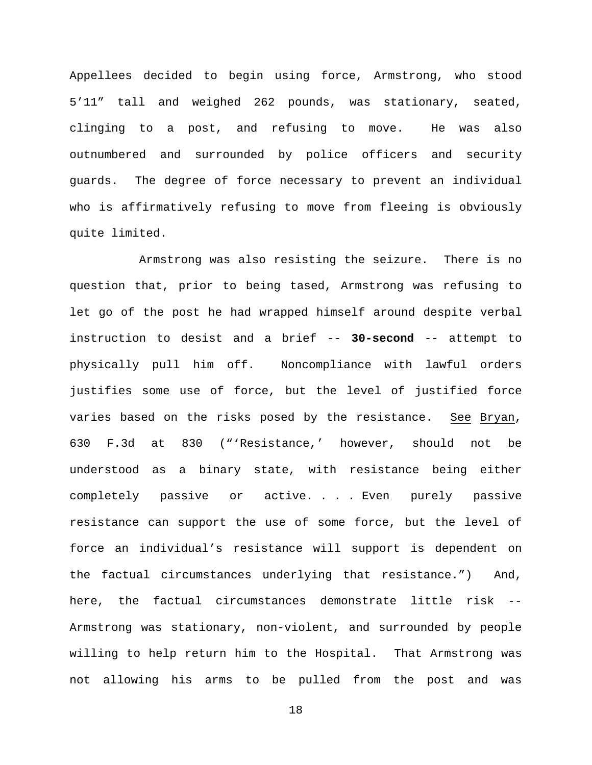Appellees decided to begin using force, Armstrong, who stood 5'11" tall and weighed 262 pounds, was stationary, seated, clinging to a post, and refusing to move. He was also outnumbered and surrounded by police officers and security guards. The degree of force necessary to prevent an individual who is affirmatively refusing to move from fleeing is obviously quite limited.

Armstrong was also resisting the seizure. There is no question that, prior to being tased, Armstrong was refusing to let go of the post he had wrapped himself around despite verbal instruction to desist and a brief -- **30-second** -- attempt to physically pull him off. Noncompliance with lawful orders justifies some use of force, but the level of justified force varies based on the risks posed by the resistance. See Bryan, 630 F.3d at 830 ("'Resistance,' however, should not be understood as a binary state, with resistance being either completely passive or active. . . . Even purely passive resistance can support the use of some force, but the level of force an individual's resistance will support is dependent on the factual circumstances underlying that resistance.") And, here, the factual circumstances demonstrate little risk -- Armstrong was stationary, non-violent, and surrounded by people willing to help return him to the Hospital. That Armstrong was not allowing his arms to be pulled from the post and was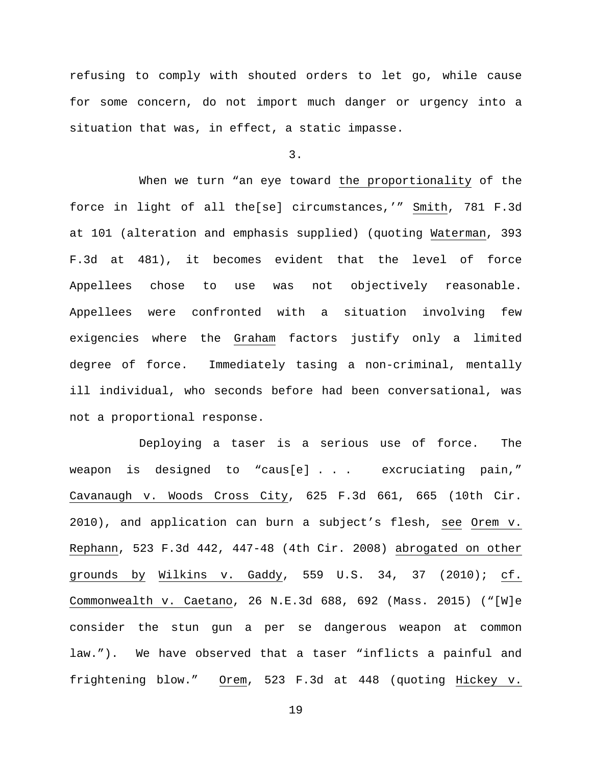refusing to comply with shouted orders to let go, while cause for some concern, do not import much danger or urgency into a situation that was, in effect, a static impasse.

3.

When we turn "an eye toward the proportionality of the force in light of all the[se] circumstances,'" Smith, 781 F.3d at 101 (alteration and emphasis supplied) (quoting Waterman, 393 F.3d at 481), it becomes evident that the level of force Appellees chose to use was not objectively reasonable. Appellees were confronted with a situation involving few exigencies where the Graham factors justify only a limited degree of force. Immediately tasing a non-criminal, mentally ill individual, who seconds before had been conversational, was not a proportional response.

Deploying a taser is a serious use of force. The weapon is designed to "caus[e] . . . excruciating pain," Cavanaugh v. Woods Cross City, 625 F.3d 661, 665 (10th Cir. 2010), and application can burn a subject's flesh, see Orem v. Rephann, 523 F.3d 442, 447-48 (4th Cir. 2008) abrogated on other grounds by Wilkins v. Gaddy, 559 U.S. 34, 37 (2010); cf. Commonwealth v. Caetano, 26 N.E.3d 688, 692 (Mass. 2015) ("[W]e consider the stun gun a per se dangerous weapon at common law."). We have observed that a taser "inflicts a painful and frightening blow." Orem, 523 F.3d at 448 (quoting Hickey v.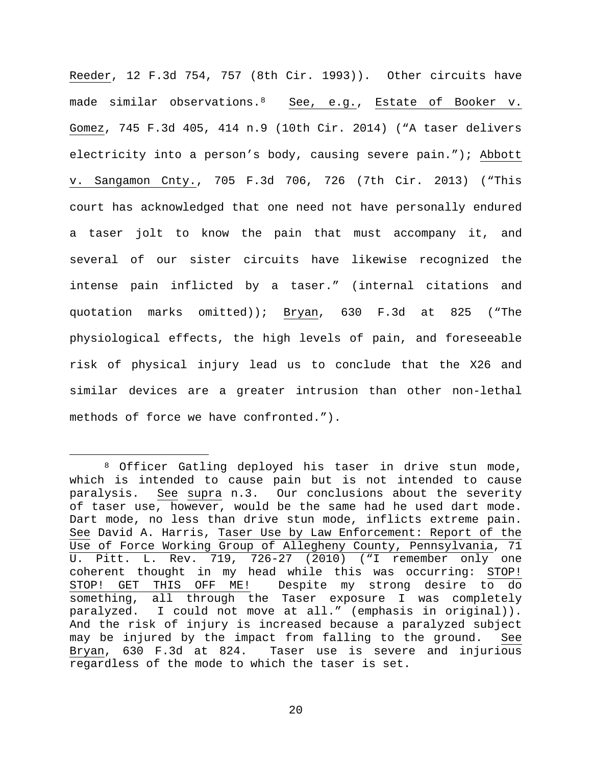Reeder, 12 F.3d 754, 757 (8th Cir. 1993)). Other circuits have made similar observations.<sup>8</sup> See, e.g., Estate of Booker v. Gomez, 745 F.3d 405, 414 n.9 (10th Cir. 2014) ("A taser delivers electricity into a person's body, causing severe pain."); Abbott v. Sangamon Cnty., 705 F.3d 706, 726 (7th Cir. 2013) ("This court has acknowledged that one need not have personally endured a taser jolt to know the pain that must accompany it, and several of our sister circuits have likewise recognized the intense pain inflicted by a taser." (internal citations and quotation marks omitted)); Bryan, 630 F.3d at 825 ("The physiological effects, the high levels of pain, and foreseeable risk of physical injury lead us to conclude that the X26 and similar devices are a greater intrusion than other non-lethal methods of force we have confronted.").

<span id="page-19-0"></span> <sup>8</sup> Officer Gatling deployed his taser in drive stun mode, which is intended to cause pain but is not intended to cause<br>paralysis. See supra n.3. Our conclusions about the severity See supra n[.3.](#page-6-2) Our conclusions about the severity of taser use, however, would be the same had he used dart mode. Dart mode, no less than drive stun mode, inflicts extreme pain. See David A. Harris, Taser Use by Law Enforcement: Report of the Use of Force Working Group of Allegheny County, Pennsylvania, 71 U. Pitt. L. Rev. 719, 726-27 (2010) ("I remember only one coherent thought in my head while this was occurring: STOP!<br>STOP! GET THIS OFF ME! Despite my strong desire to do Despite my strong desire to do something, all through the Taser exposure I was completely paralyzed. I could not move at all." (emphasis in original)). And the risk of injury is increased because a paralyzed subject may be injured by the impact from falling to the ground. See Bryan, 630 F.3d at 824. Taser use is severe and injurious regardless of the mode to which the taser is set.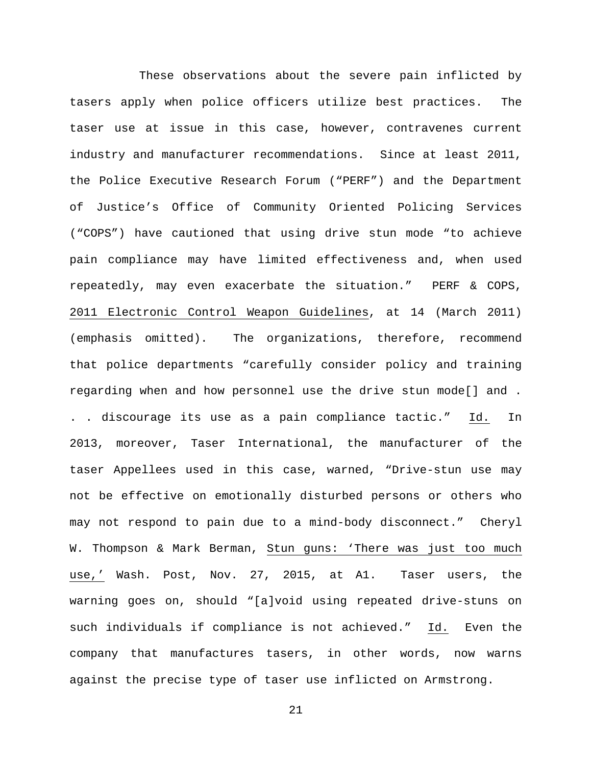These observations about the severe pain inflicted by tasers apply when police officers utilize best practices. The taser use at issue in this case, however, contravenes current industry and manufacturer recommendations. Since at least 2011, the Police Executive Research Forum ("PERF") and the Department of Justice's Office of Community Oriented Policing Services ("COPS") have cautioned that using drive stun mode "to achieve pain compliance may have limited effectiveness and, when used repeatedly, may even exacerbate the situation." PERF & COPS, 2011 Electronic Control Weapon Guidelines, at 14 (March 2011) (emphasis omitted). The organizations, therefore, recommend that police departments "carefully consider policy and training regarding when and how personnel use the drive stun mode[] and . . . discourage its use as a pain compliance tactic." Id. In 2013, moreover, Taser International, the manufacturer of the taser Appellees used in this case, warned, "Drive-stun use may not be effective on emotionally disturbed persons or others who may not respond to pain due to a mind-body disconnect." Cheryl W. Thompson & Mark Berman, Stun guns: 'There was just too much use,' Wash. Post, Nov. 27, 2015, at A1. Taser users, the warning goes on, should "[a]void using repeated drive-stuns on such individuals if compliance is not achieved." Id. Even the company that manufactures tasers, in other words, now warns against the precise type of taser use inflicted on Armstrong.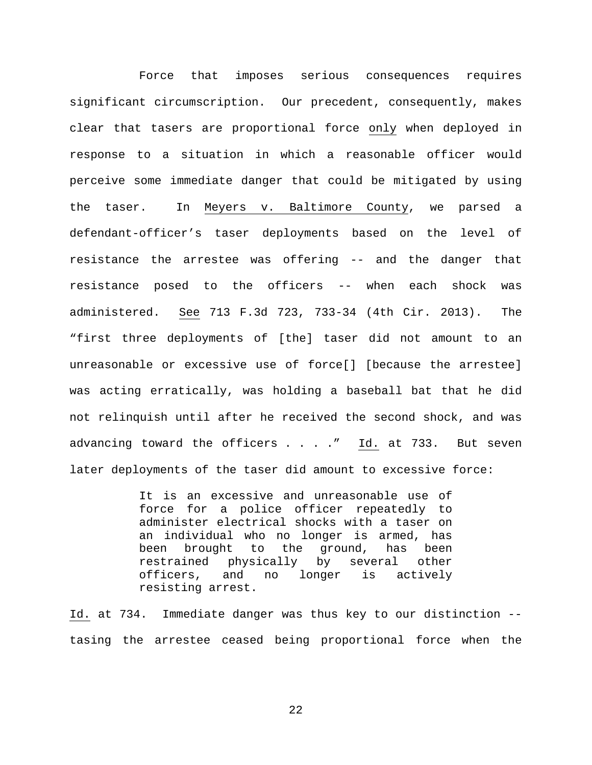Force that imposes serious consequences requires significant circumscription. Our precedent, consequently, makes clear that tasers are proportional force only when deployed in response to a situation in which a reasonable officer would perceive some immediate danger that could be mitigated by using the taser. In Meyers v. Baltimore County, we parsed a defendant-officer's taser deployments based on the level of resistance the arrestee was offering -- and the danger that resistance posed to the officers -- when each shock was administered. See 713 F.3d 723, 733-34 (4th Cir. 2013). The "first three deployments of [the] taser did not amount to an unreasonable or excessive use of force[] [because the arrestee] was acting erratically, was holding a baseball bat that he did not relinquish until after he received the second shock, and was advancing toward the officers . . . . " Id. at 733. But seven later deployments of the taser did amount to excessive force:

> It is an excessive and unreasonable use of force for a police officer repeatedly to administer electrical shocks with a taser on an individual who no longer is armed, has been brought to the ground, has been restrained physically by several other officers, and no longer is actively resisting arrest.

Id. at 734. Immediate danger was thus key to our distinction - tasing the arrestee ceased being proportional force when the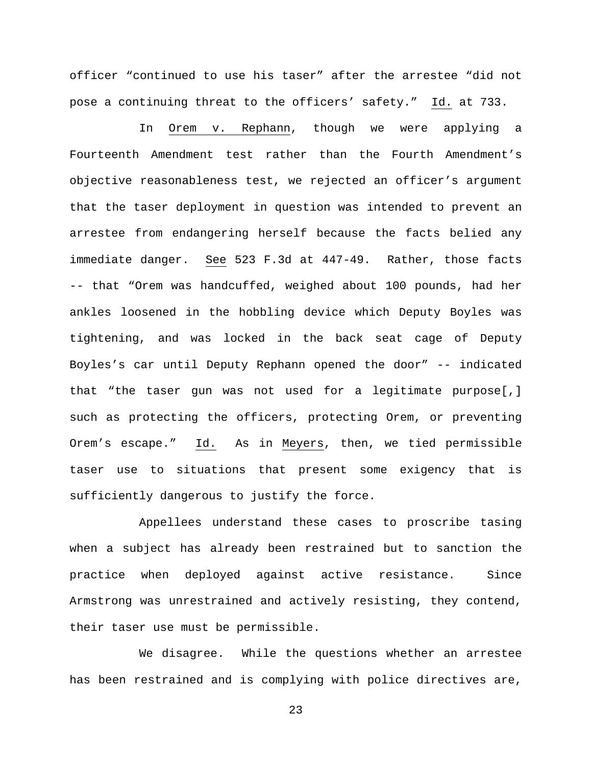officer "continued to use his taser" after the arrestee "did not pose a continuing threat to the officers' safety." Id. at 733.

In Orem v. Rephann, though we were applying a Fourteenth Amendment test rather than the Fourth Amendment's objective reasonableness test, we rejected an officer's argument that the taser deployment in question was intended to prevent an arrestee from endangering herself because the facts belied any immediate danger. See 523 F.3d at 447-49. Rather, those facts -- that "Orem was handcuffed, weighed about 100 pounds, had her ankles loosened in the hobbling device which Deputy Boyles was tightening, and was locked in the back seat cage of Deputy Boyles's car until Deputy Rephann opened the door" -- indicated that "the taser gun was not used for a legitimate purpose[,] such as protecting the officers, protecting Orem, or preventing Orem's escape." Id. As in Meyers, then, we tied permissible taser use to situations that present some exigency that is sufficiently dangerous to justify the force.

Appellees understand these cases to proscribe tasing when a subject has already been restrained but to sanction the practice when deployed against active resistance. Since Armstrong was unrestrained and actively resisting, they contend, their taser use must be permissible.

We disagree. While the questions whether an arrestee has been restrained and is complying with police directives are,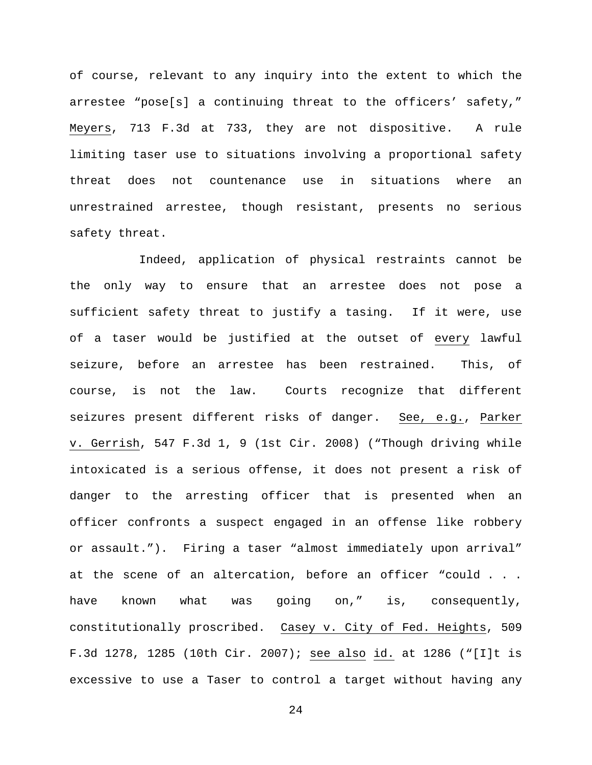of course, relevant to any inquiry into the extent to which the arrestee "pose[s] a continuing threat to the officers' safety," Meyers, 713 F.3d at 733, they are not dispositive. A rule limiting taser use to situations involving a proportional safety threat does not countenance use in situations where an unrestrained arrestee, though resistant, presents no serious safety threat.

Indeed, application of physical restraints cannot be the only way to ensure that an arrestee does not pose a sufficient safety threat to justify a tasing. If it were, use of a taser would be justified at the outset of every lawful seizure, before an arrestee has been restrained. This, of course, is not the law. Courts recognize that different seizures present different risks of danger. See, e.g., Parker v. Gerrish, 547 F.3d 1, 9 (1st Cir. 2008) ("Though driving while intoxicated is a serious offense, it does not present a risk of danger to the arresting officer that is presented when an officer confronts a suspect engaged in an offense like robbery or assault."). Firing a taser "almost immediately upon arrival" at the scene of an altercation, before an officer "could . . . have known what was going on," is, consequently, constitutionally proscribed. Casey v. City of Fed. Heights, 509 F.3d 1278, 1285 (10th Cir. 2007); see also id. at 1286 ("[I]t is excessive to use a Taser to control a target without having any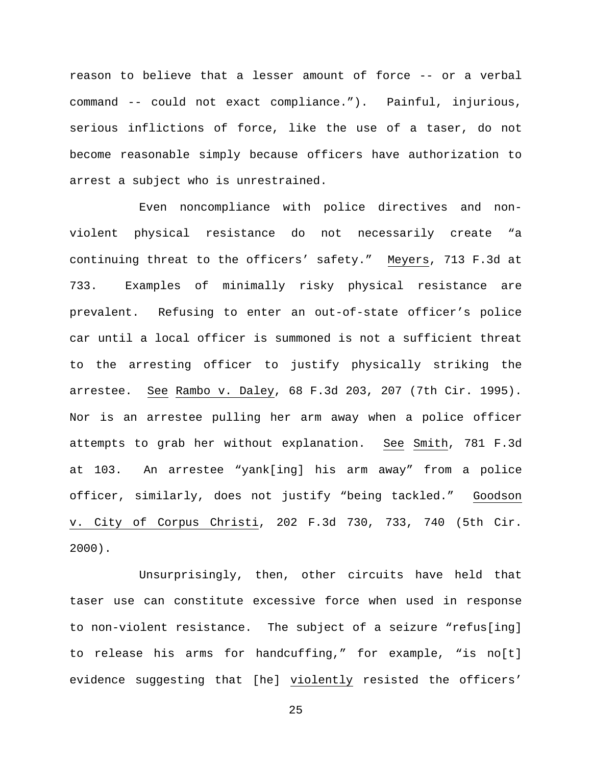reason to believe that a lesser amount of force -- or a verbal command -- could not exact compliance."). Painful, injurious, serious inflictions of force, like the use of a taser, do not become reasonable simply because officers have authorization to arrest a subject who is unrestrained.

Even noncompliance with police directives and nonviolent physical resistance do not necessarily create "a continuing threat to the officers' safety." Meyers, 713 F.3d at 733. Examples of minimally risky physical resistance are prevalent. Refusing to enter an out-of-state officer's police car until a local officer is summoned is not a sufficient threat to the arresting officer to justify physically striking the arrestee. See Rambo v. Daley, 68 F.3d 203, 207 (7th Cir. 1995). Nor is an arrestee pulling her arm away when a police officer attempts to grab her without explanation. See Smith, 781 F.3d at 103. An arrestee "yank[ing] his arm away" from a police officer, similarly, does not justify "being tackled." Goodson v. City of Corpus Christi, 202 F.3d 730, 733, 740 (5th Cir. 2000).

Unsurprisingly, then, other circuits have held that taser use can constitute excessive force when used in response to non-violent resistance. The subject of a seizure "refus[ing] to release his arms for handcuffing," for example, "is no[t] evidence suggesting that [he] violently resisted the officers'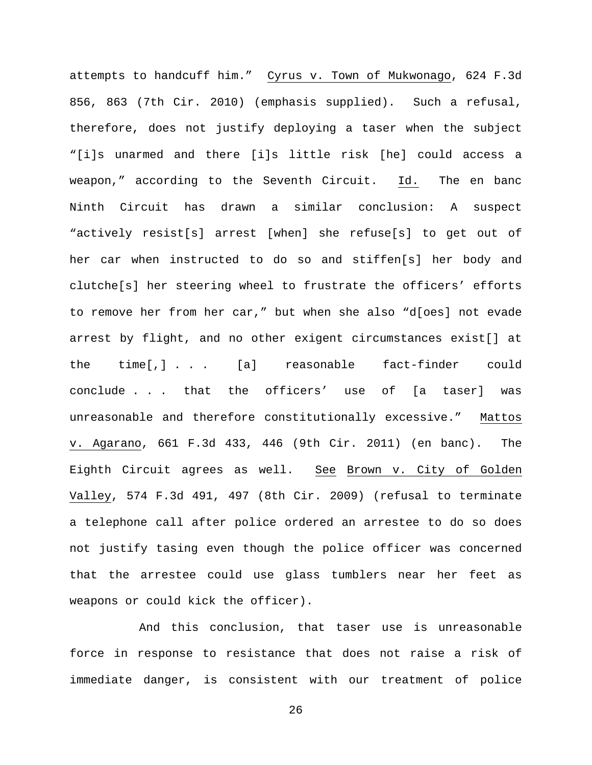attempts to handcuff him." Cyrus v. Town of Mukwonago, 624 F.3d 856, 863 (7th Cir. 2010) (emphasis supplied). Such a refusal, therefore, does not justify deploying a taser when the subject "[i]s unarmed and there [i]s little risk [he] could access a weapon," according to the Seventh Circuit. Id. The en banc Ninth Circuit has drawn a similar conclusion: A suspect "actively resist[s] arrest [when] she refuse[s] to get out of her car when instructed to do so and stiffen[s] her body and clutche[s] her steering wheel to frustrate the officers' efforts to remove her from her car," but when she also "d[oes] not evade arrest by flight, and no other exigent circumstances exist[] at the time[,] . . . [a] reasonable fact-finder could conclude . . . that the officers' use of [a taser] was unreasonable and therefore constitutionally excessive." Mattos v. Agarano, 661 F.3d 433, 446 (9th Cir. 2011) (en banc). The Eighth Circuit agrees as well. See Brown v. City of Golden Valley, 574 F.3d 491, 497 (8th Cir. 2009) (refusal to terminate a telephone call after police ordered an arrestee to do so does not justify tasing even though the police officer was concerned that the arrestee could use glass tumblers near her feet as weapons or could kick the officer).

And this conclusion, that taser use is unreasonable force in response to resistance that does not raise a risk of immediate danger, is consistent with our treatment of police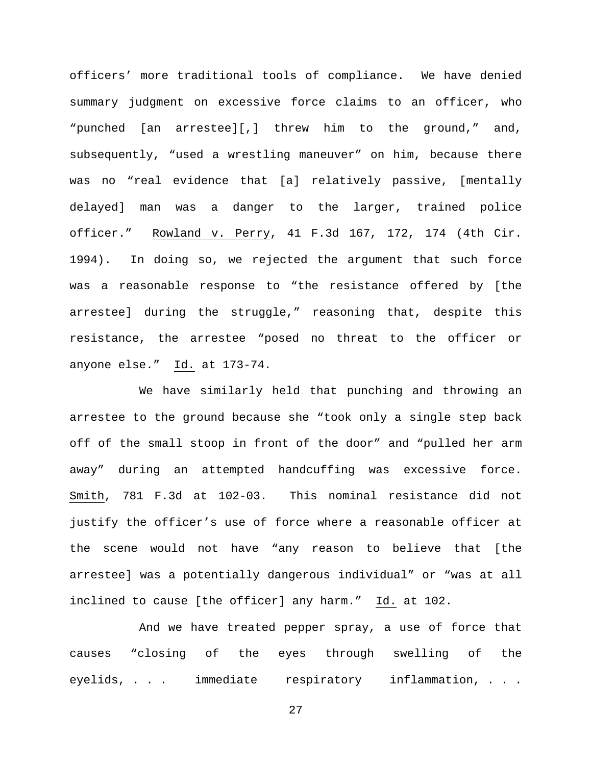officers' more traditional tools of compliance. We have denied summary judgment on excessive force claims to an officer, who "punched [an arrestee][,] threw him to the ground," and, subsequently, "used a wrestling maneuver" on him, because there was no "real evidence that [a] relatively passive, [mentally delayed] man was a danger to the larger, trained police officer." Rowland v. Perry, 41 F.3d 167, 172, 174 (4th Cir. 1994). In doing so, we rejected the argument that such force was a reasonable response to "the resistance offered by [the arrestee] during the struggle," reasoning that, despite this resistance, the arrestee "posed no threat to the officer or anyone else." Id. at 173-74.

We have similarly held that punching and throwing an arrestee to the ground because she "took only a single step back off of the small stoop in front of the door" and "pulled her arm away" during an attempted handcuffing was excessive force. Smith, 781 F.3d at 102-03. This nominal resistance did not justify the officer's use of force where a reasonable officer at the scene would not have "any reason to believe that [the arrestee] was a potentially dangerous individual" or "was at all inclined to cause [the officer] any harm." Id. at 102.

And we have treated pepper spray, a use of force that causes "closing of the eyes through swelling of the eyelids, . . . immediate respiratory inflammation, . . .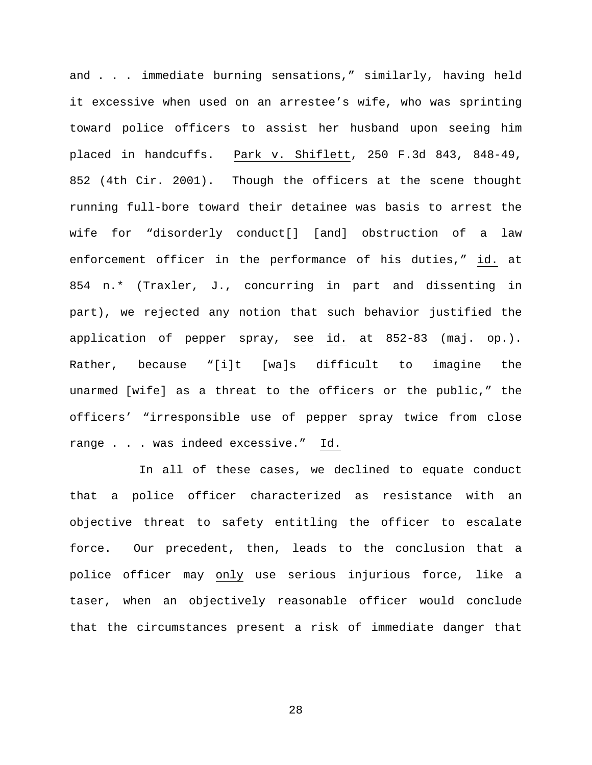and . . . immediate burning sensations," similarly, having held it excessive when used on an arrestee's wife, who was sprinting toward police officers to assist her husband upon seeing him placed in handcuffs. Park v. Shiflett, 250 F.3d 843, 848-49, 852 (4th Cir. 2001). Though the officers at the scene thought running full-bore toward their detainee was basis to arrest the wife for "disorderly conduct[] [and] obstruction of a law enforcement officer in the performance of his duties," id. at 854 n.\* (Traxler, J., concurring in part and dissenting in part), we rejected any notion that such behavior justified the application of pepper spray, see id. at 852-83 (maj. op.). Rather, because "[i]t [wa]s difficult to imagine the unarmed [wife] as a threat to the officers or the public," the officers' "irresponsible use of pepper spray twice from close range . . . was indeed excessive." Id.

In all of these cases, we declined to equate conduct that a police officer characterized as resistance with an objective threat to safety entitling the officer to escalate force. Our precedent, then, leads to the conclusion that a police officer may only use serious injurious force, like a taser, when an objectively reasonable officer would conclude that the circumstances present a risk of immediate danger that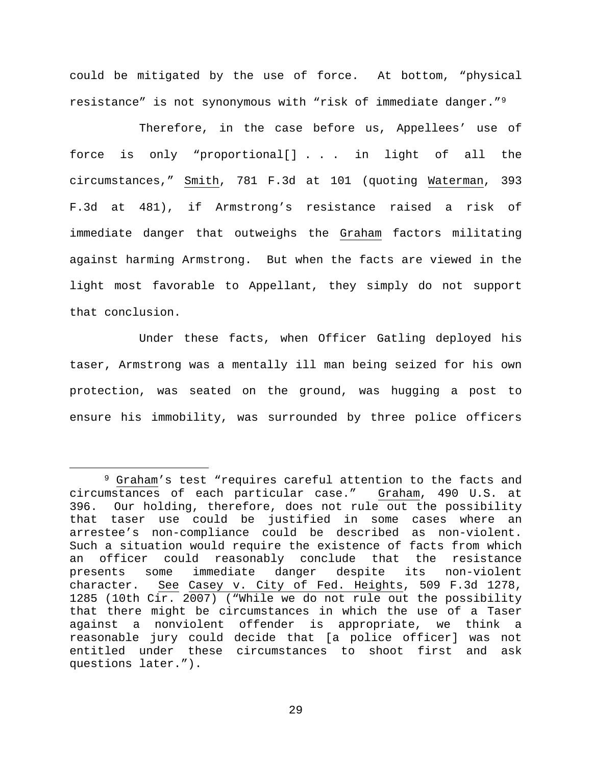could be mitigated by the use of force. At bottom, "physical resistance" is not synonymous with "risk of immediate danger."[9](#page-28-0)

Therefore, in the case before us, Appellees' use of force is only "proportional[] . . . in light of all the circumstances," Smith, 781 F.3d at 101 (quoting Waterman, 393 F.3d at 481), if Armstrong's resistance raised a risk of immediate danger that outweighs the Graham factors militating against harming Armstrong. But when the facts are viewed in the light most favorable to Appellant, they simply do not support that conclusion.

Under these facts, when Officer Gatling deployed his taser, Armstrong was a mentally ill man being seized for his own protection, was seated on the ground, was hugging a post to ensure his immobility, was surrounded by three police officers

<span id="page-28-0"></span> <sup>9</sup> Graham's test "requires careful attention to the facts and circumstances of each particular case." Graham, 490 U.S. at 396. Our holding, therefore, does not rule out the possibility that taser use could be justified in some cases where an arrestee's non-compliance could be described as non-violent. Such a situation would require the existence of facts from which an officer could reasonably conclude that the resistance presents some immediate danger despite its non-violent character. See Casey v. City of Fed. Heights, 509 F.3d 1278, 1285 (10th Cir. 2007) ("While we do not rule out the possibility that there might be circumstances in which the use of a Taser against a nonviolent offender is appropriate, we think a reasonable jury could decide that [a police officer] was not entitled under these circumstances to shoot first and ask questions later.").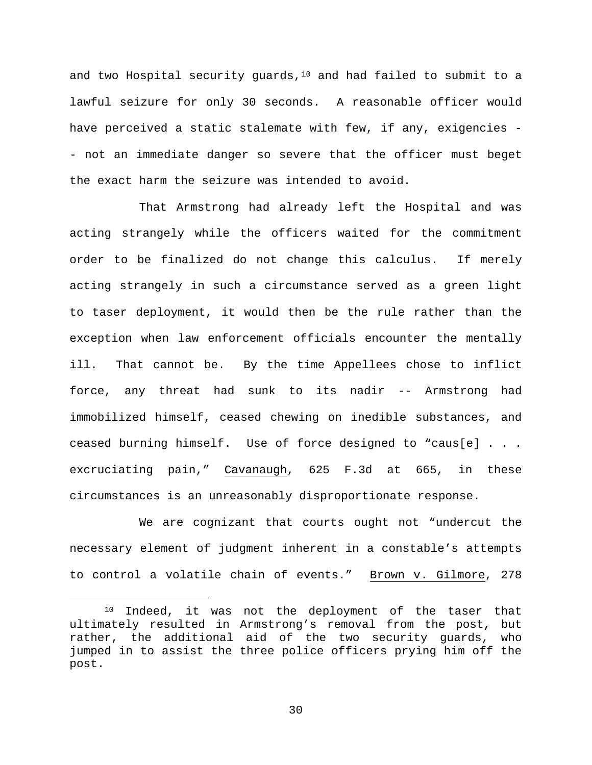and two Hospital security guards, $10$  and had failed to submit to a lawful seizure for only 30 seconds. A reasonable officer would have perceived a static stalemate with few, if any, exigencies - - not an immediate danger so severe that the officer must beget the exact harm the seizure was intended to avoid.

That Armstrong had already left the Hospital and was acting strangely while the officers waited for the commitment order to be finalized do not change this calculus. If merely acting strangely in such a circumstance served as a green light to taser deployment, it would then be the rule rather than the exception when law enforcement officials encounter the mentally ill. That cannot be. By the time Appellees chose to inflict force, any threat had sunk to its nadir -- Armstrong had immobilized himself, ceased chewing on inedible substances, and ceased burning himself. Use of force designed to "caus[e] . . . excruciating pain," Cavanaugh, 625 F.3d at 665, in these circumstances is an unreasonably disproportionate response.

We are cognizant that courts ought not "undercut the necessary element of judgment inherent in a constable's attempts to control a volatile chain of events." Brown v. Gilmore, 278

<span id="page-29-0"></span> <sup>10</sup> Indeed, it was not the deployment of the taser that ultimately resulted in Armstrong's removal from the post, but rather, the additional aid of the two security guards, who jumped in to assist the three police officers prying him off the post.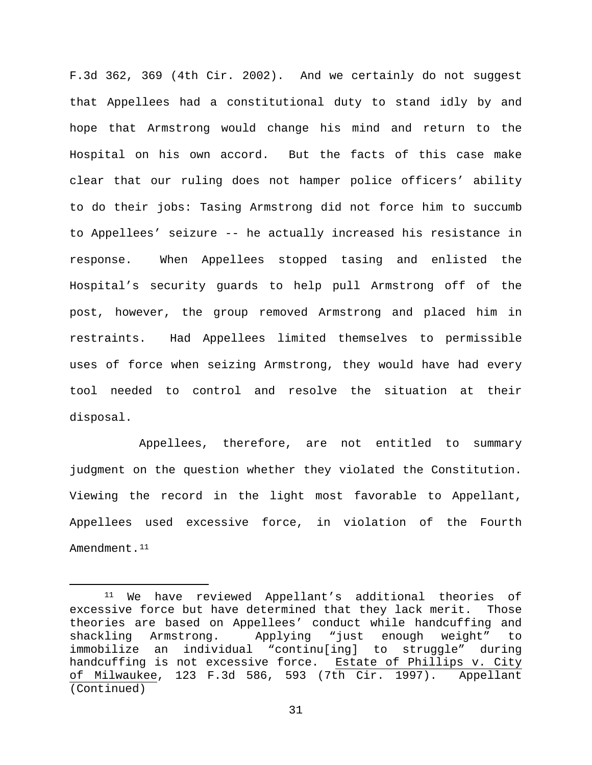F.3d 362, 369 (4th Cir. 2002). And we certainly do not suggest that Appellees had a constitutional duty to stand idly by and hope that Armstrong would change his mind and return to the Hospital on his own accord. But the facts of this case make clear that our ruling does not hamper police officers' ability to do their jobs: Tasing Armstrong did not force him to succumb to Appellees' seizure -- he actually increased his resistance in response. When Appellees stopped tasing and enlisted the Hospital's security guards to help pull Armstrong off of the post, however, the group removed Armstrong and placed him in restraints. Had Appellees limited themselves to permissible uses of force when seizing Armstrong, they would have had every tool needed to control and resolve the situation at their disposal.

Appellees, therefore, are not entitled to summary judgment on the question whether they violated the Constitution. Viewing the record in the light most favorable to Appellant, Appellees used excessive force, in violation of the Fourth Amendment.<sup>[11](#page-30-0)</sup>

<span id="page-30-0"></span> <sup>11</sup> We have reviewed Appellant's additional theories of excessive force but have determined that they lack merit. Those theories are based on Appellees' conduct while handcuffing and<br>shackling Armstrong. Applying "just enough weight" to Applying "just enough weight" to immobilize an individual "continu[ing] to struggle" during handcuffing is not excessive force. Estate of Phillips v. City of Milwaukee, 123 F.3d 586, 593 (7th Cir. 1997). Appellant (Continued)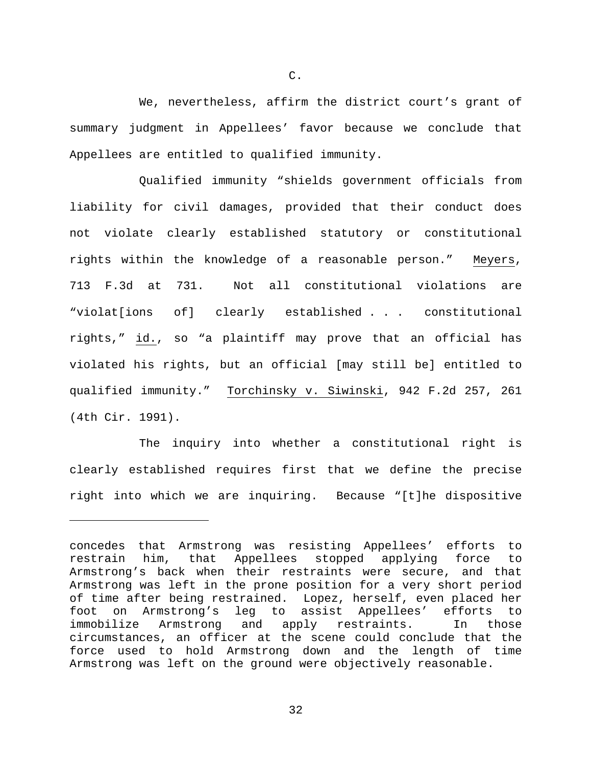We, nevertheless, affirm the district court's grant of summary judgment in Appellees' favor because we conclude that Appellees are entitled to qualified immunity.

Qualified immunity "shields government officials from liability for civil damages, provided that their conduct does not violate clearly established statutory or constitutional rights within the knowledge of a reasonable person." Meyers, 713 F.3d at 731. Not all constitutional violations are "violat[ions of] clearly established . . . constitutional rights," id., so "a plaintiff may prove that an official has violated his rights, but an official [may still be] entitled to qualified immunity." Torchinsky v. Siwinski, 942 F.2d 257, 261 (4th Cir. 1991).

The inquiry into whether a constitutional right is clearly established requires first that we define the precise right into which we are inquiring. Because "[t]he dispositive

ī

C.

concedes that Armstrong was resisting Appellees' efforts to restrain him, that Appellees stopped applying force to Armstrong's back when their restraints were secure, and that Armstrong was left in the prone position for a very short period of time after being restrained. Lopez, herself, even placed her foot on Armstrong's leg to assist Appellees' efforts to immobilize Armstrong and apply restraints. In those circumstances, an officer at the scene could conclude that the force used to hold Armstrong down and the length of time Armstrong was left on the ground were objectively reasonable.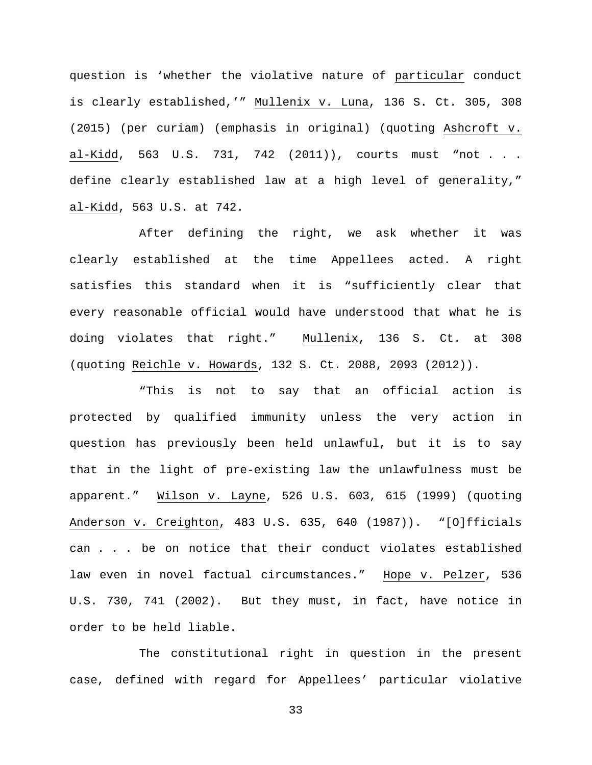question is 'whether the violative nature of particular conduct is clearly established,'" Mullenix v. Luna, 136 S. Ct. 305, 308 (2015) (per curiam) (emphasis in original) (quoting Ashcroft v. al-Kidd, 563 U.S. 731, 742 (2011)), courts must "not . . . define clearly established law at a high level of generality," al-Kidd, 563 U.S. at 742.

After defining the right, we ask whether it was clearly established at the time Appellees acted. A right satisfies this standard when it is "sufficiently clear that every reasonable official would have understood that what he is doing violates that right." Mullenix, 136 S. Ct. at 308 (quoting Reichle v. Howards, 132 S. Ct. 2088, 2093 (2012)).

"This is not to say that an official action is protected by qualified immunity unless the very action in question has previously been held unlawful, but it is to say that in the light of pre-existing law the unlawfulness must be apparent." Wilson v. Layne, 526 U.S. 603, 615 (1999) (quoting Anderson v. Creighton, 483 U.S. 635, 640 (1987)). "[O]fficials can . . . be on notice that their conduct violates established law even in novel factual circumstances." Hope v. Pelzer, 536 U.S. 730, 741 (2002). But they must, in fact, have notice in order to be held liable.

The constitutional right in question in the present case, defined with regard for Appellees' particular violative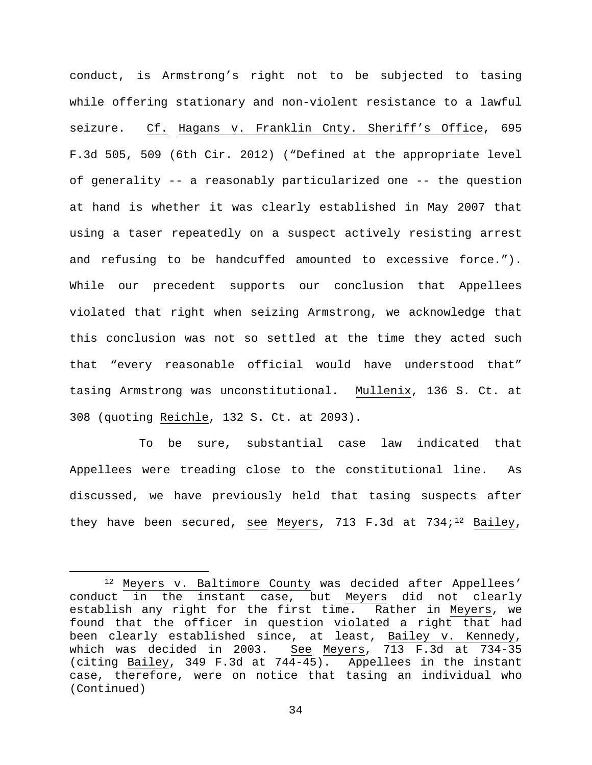conduct, is Armstrong's right not to be subjected to tasing while offering stationary and non-violent resistance to a lawful seizure. Cf. Hagans v. Franklin Cnty. Sheriff's Office, 695 F.3d 505, 509 (6th Cir. 2012) ("Defined at the appropriate level of generality -- a reasonably particularized one -- the question at hand is whether it was clearly established in May 2007 that using a taser repeatedly on a suspect actively resisting arrest and refusing to be handcuffed amounted to excessive force."). While our precedent supports our conclusion that Appellees violated that right when seizing Armstrong, we acknowledge that this conclusion was not so settled at the time they acted such that "every reasonable official would have understood that" tasing Armstrong was unconstitutional. Mullenix, 136 S. Ct. at 308 (quoting Reichle, 132 S. Ct. at 2093).

To be sure, substantial case law indicated that Appellees were treading close to the constitutional line. As discussed, we have previously held that tasing suspects after they have been secured, see Meyers, 713 F.3d at 734; $^{12}$  $^{12}$  $^{12}$  Bailey,

<span id="page-33-0"></span> <sup>12</sup> Meyers v. Baltimore County was decided after Appellees' conduct in the instant case, but Meyers did not clearly establish any right for the first time. Rather in Meyers, we found that the officer in question violated a right that had been clearly established since, at least, Bailey v. Kennedy, which was decided in 2003. See Meyers, 713 F.3d at 734-35<br>(citing Bailey, 349 F.3d at 744-45). Appellees in the instant (citing Bailey, 349 F.3d at  $744-45$ ). case, therefore, were on notice that tasing an individual who (Continued)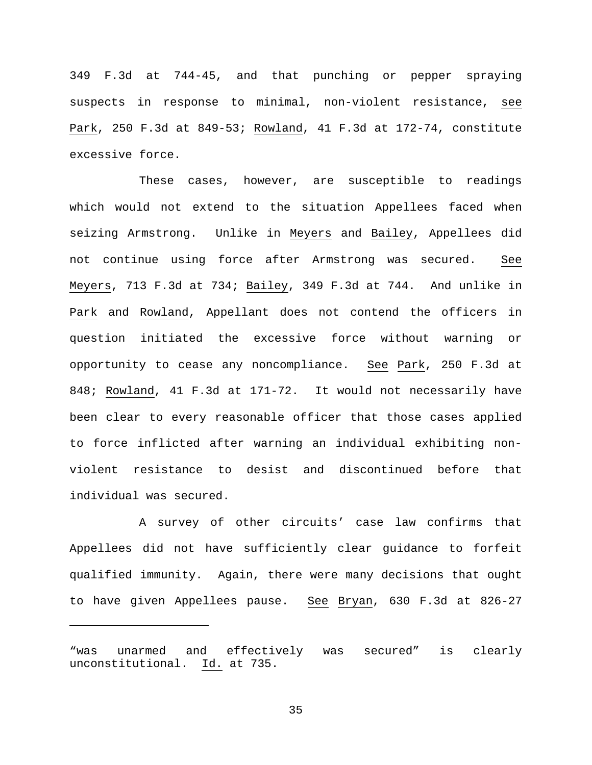349 F.3d at 744-45, and that punching or pepper spraying suspects in response to minimal, non-violent resistance, see Park, 250 F.3d at 849-53; Rowland, 41 F.3d at 172-74, constitute excessive force.

These cases, however, are susceptible to readings which would not extend to the situation Appellees faced when seizing Armstrong. Unlike in Meyers and Bailey, Appellees did not continue using force after Armstrong was secured. See Meyers, 713 F.3d at 734; Bailey, 349 F.3d at 744. And unlike in Park and Rowland, Appellant does not contend the officers in question initiated the excessive force without warning or opportunity to cease any noncompliance. See Park, 250 F.3d at 848; Rowland, 41 F.3d at 171-72. It would not necessarily have been clear to every reasonable officer that those cases applied to force inflicted after warning an individual exhibiting nonviolent resistance to desist and discontinued before that individual was secured.

A survey of other circuits' case law confirms that Appellees did not have sufficiently clear guidance to forfeit qualified immunity. Again, there were many decisions that ought to have given Appellees pause. See Bryan, 630 F.3d at 826-27

ī

<sup>&</sup>quot;was unarmed and effectively was secured" is clearly unconstitutional. Id. at 735.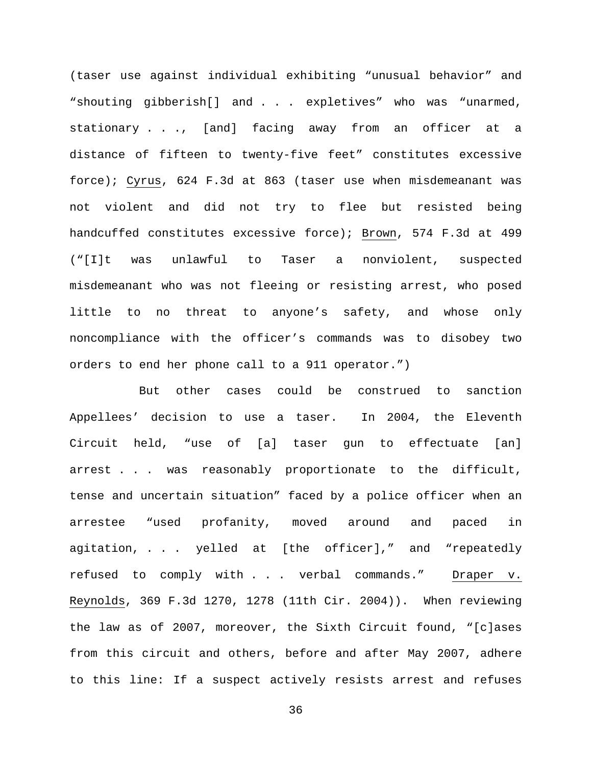(taser use against individual exhibiting "unusual behavior" and "shouting gibberish[] and . . . expletives" who was "unarmed, stationary . . ., [and] facing away from an officer at a distance of fifteen to twenty-five feet" constitutes excessive force); Cyrus, 624 F.3d at 863 (taser use when misdemeanant was not violent and did not try to flee but resisted being handcuffed constitutes excessive force); Brown, 574 F.3d at 499 ("[I]t was unlawful to Taser a nonviolent, suspected misdemeanant who was not fleeing or resisting arrest, who posed little to no threat to anyone's safety, and whose only noncompliance with the officer's commands was to disobey two orders to end her phone call to a 911 operator.")

But other cases could be construed to sanction Appellees' decision to use a taser. In 2004, the Eleventh Circuit held, "use of [a] taser gun to effectuate [an] arrest . . . was reasonably proportionate to the difficult, tense and uncertain situation" faced by a police officer when an arrestee "used profanity, moved around and paced in agitation, . . . yelled at [the officer]," and "repeatedly refused to comply with . . . verbal commands." Draper v. Reynolds, 369 F.3d 1270, 1278 (11th Cir. 2004)). When reviewing the law as of 2007, moreover, the Sixth Circuit found, "[c]ases from this circuit and others, before and after May 2007, adhere to this line: If a suspect actively resists arrest and refuses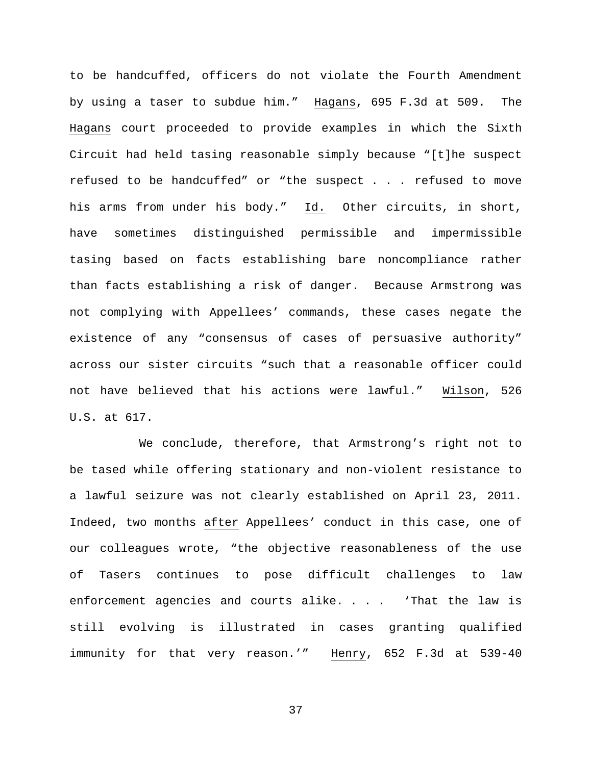to be handcuffed, officers do not violate the Fourth Amendment by using a taser to subdue him." Hagans, 695 F.3d at 509. The Hagans court proceeded to provide examples in which the Sixth Circuit had held tasing reasonable simply because "[t]he suspect refused to be handcuffed" or "the suspect . . . refused to move his arms from under his body." Id. Other circuits, in short, have sometimes distinguished permissible and impermissible tasing based on facts establishing bare noncompliance rather than facts establishing a risk of danger. Because Armstrong was not complying with Appellees' commands, these cases negate the existence of any "consensus of cases of persuasive authority" across our sister circuits "such that a reasonable officer could not have believed that his actions were lawful." Wilson, 526 U.S. at 617.

We conclude, therefore, that Armstrong's right not to be tased while offering stationary and non-violent resistance to a lawful seizure was not clearly established on April 23, 2011. Indeed, two months after Appellees' conduct in this case, one of our colleagues wrote, "the objective reasonableness of the use of Tasers continues to pose difficult challenges to law enforcement agencies and courts alike. . . . 'That the law is still evolving is illustrated in cases granting qualified immunity for that very reason.'" Henry, 652 F.3d at 539-40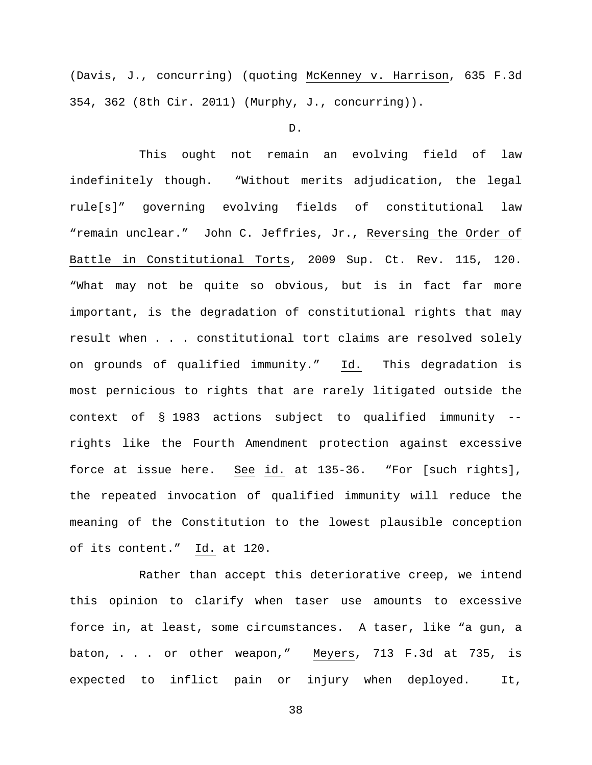(Davis, J., concurring) (quoting McKenney v. Harrison, 635 F.3d 354, 362 (8th Cir. 2011) (Murphy, J., concurring)).

D.

This ought not remain an evolving field of law indefinitely though. "Without merits adjudication, the legal rule[s]" governing evolving fields of constitutional law "remain unclear." John C. Jeffries, Jr., Reversing the Order of Battle in Constitutional Torts, 2009 Sup. Ct. Rev. 115, 120. "What may not be quite so obvious, but is in fact far more important, is the degradation of constitutional rights that may result when . . . constitutional tort claims are resolved solely on grounds of qualified immunity." Id. This degradation is most pernicious to rights that are rarely litigated outside the context of § 1983 actions subject to qualified immunity - rights like the Fourth Amendment protection against excessive force at issue here. See id. at 135-36. "For [such rights], the repeated invocation of qualified immunity will reduce the meaning of the Constitution to the lowest plausible conception of its content." Id. at 120.

Rather than accept this deteriorative creep, we intend this opinion to clarify when taser use amounts to excessive force in, at least, some circumstances. A taser, like "a gun, a baton, . . . or other weapon," Meyers, 713 F.3d at 735, is expected to inflict pain or injury when deployed. It,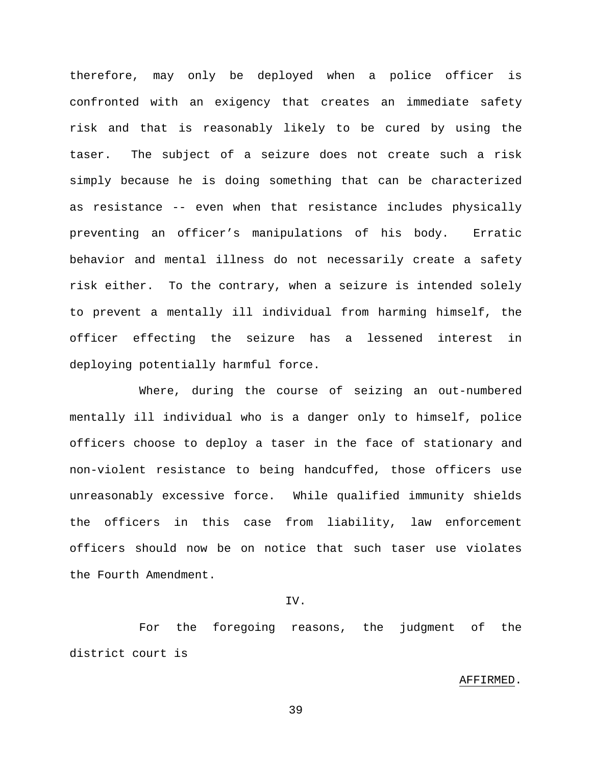therefore, may only be deployed when a police officer is confronted with an exigency that creates an immediate safety risk and that is reasonably likely to be cured by using the taser. The subject of a seizure does not create such a risk simply because he is doing something that can be characterized as resistance -- even when that resistance includes physically preventing an officer's manipulations of his body. Erratic behavior and mental illness do not necessarily create a safety risk either. To the contrary, when a seizure is intended solely to prevent a mentally ill individual from harming himself, the officer effecting the seizure has a lessened interest in deploying potentially harmful force.

Where, during the course of seizing an out-numbered mentally ill individual who is a danger only to himself, police officers choose to deploy a taser in the face of stationary and non-violent resistance to being handcuffed, those officers use unreasonably excessive force. While qualified immunity shields the officers in this case from liability, law enforcement officers should now be on notice that such taser use violates the Fourth Amendment.

## IV.

For the foregoing reasons, the judgment of the district court is

#### AFFIRMED.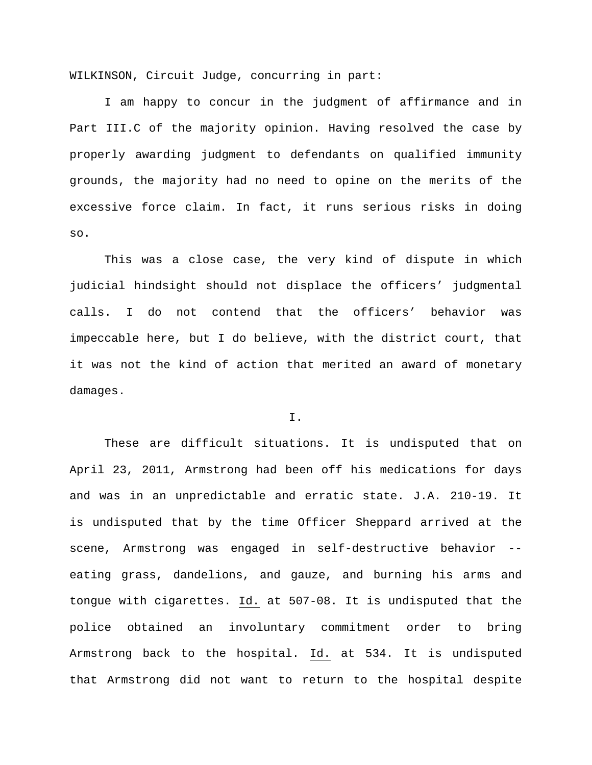WILKINSON, Circuit Judge, concurring in part:

I am happy to concur in the judgment of affirmance and in Part III.C of the majority opinion. Having resolved the case by properly awarding judgment to defendants on qualified immunity grounds, the majority had no need to opine on the merits of the excessive force claim. In fact, it runs serious risks in doing so.

This was a close case, the very kind of dispute in which judicial hindsight should not displace the officers' judgmental calls. I do not contend that the officers' behavior was impeccable here, but I do believe, with the district court, that it was not the kind of action that merited an award of monetary damages.

# I.

These are difficult situations. It is undisputed that on April 23, 2011, Armstrong had been off his medications for days and was in an unpredictable and erratic state. J.A. 210-19. It is undisputed that by the time Officer Sheppard arrived at the scene, Armstrong was engaged in self-destructive behavior - eating grass, dandelions, and gauze, and burning his arms and tongue with cigarettes. Id. at 507-08. It is undisputed that the police obtained an involuntary commitment order to bring Armstrong back to the hospital. Id. at 534. It is undisputed that Armstrong did not want to return to the hospital despite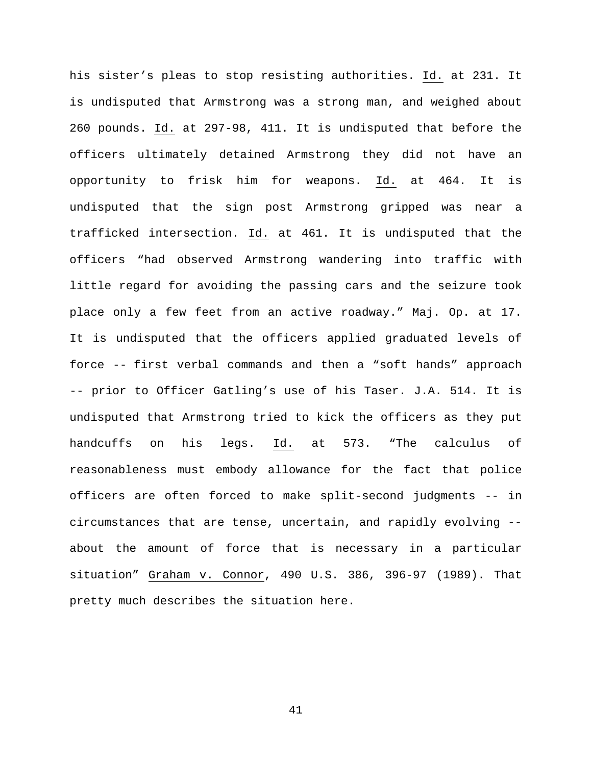his sister's pleas to stop resisting authorities. Id. at 231. It is undisputed that Armstrong was a strong man, and weighed about 260 pounds. Id. at 297-98, 411. It is undisputed that before the officers ultimately detained Armstrong they did not have an opportunity to frisk him for weapons. Id. at 464. It is undisputed that the sign post Armstrong gripped was near a trafficked intersection. Id. at 461. It is undisputed that the officers "had observed Armstrong wandering into traffic with little regard for avoiding the passing cars and the seizure took place only a few feet from an active roadway." Maj. Op. at 17. It is undisputed that the officers applied graduated levels of force -- first verbal commands and then a "soft hands" approach -- prior to Officer Gatling's use of his Taser. J.A. 514. It is undisputed that Armstrong tried to kick the officers as they put handcuffs on his legs. Id. at 573. "The calculus of reasonableness must embody allowance for the fact that police officers are often forced to make split-second judgments -- in circumstances that are tense, uncertain, and rapidly evolving - about the amount of force that is necessary in a particular situation" Graham v. Connor, 490 U.S. 386, 396-97 (1989). That pretty much describes the situation here.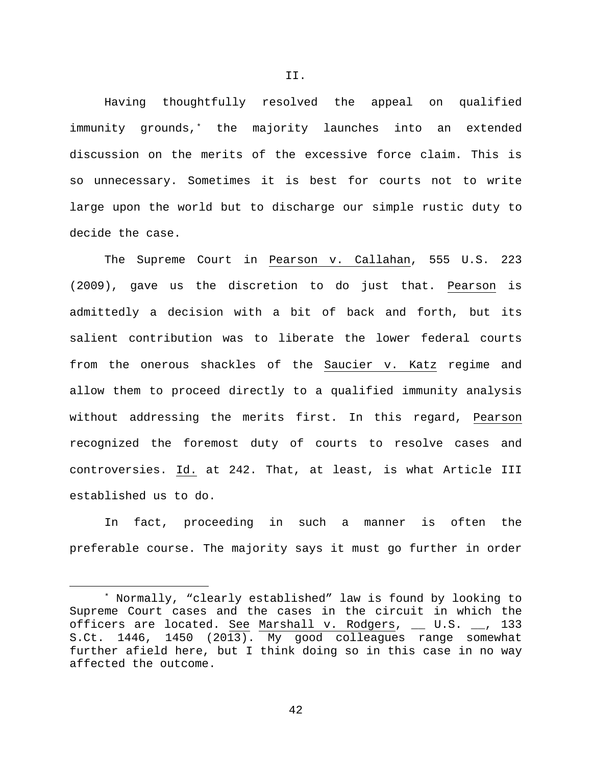Having thoughtfully resolved the appeal on qualified immunity grounds,[\\*](#page-41-0) the majority launches into an extended discussion on the merits of the excessive force claim. This is so unnecessary. Sometimes it is best for courts not to write large upon the world but to discharge our simple rustic duty to decide the case.

The Supreme Court in Pearson v. Callahan, 555 U.S. 223 (2009), gave us the discretion to do just that. Pearson is admittedly a decision with a bit of back and forth, but its salient contribution was to liberate the lower federal courts from the onerous shackles of the Saucier v. Katz regime and allow them to proceed directly to a qualified immunity analysis without addressing the merits first. In this regard, Pearson recognized the foremost duty of courts to resolve cases and controversies. Id. at 242. That, at least, is what Article III established us to do.

In fact, proceeding in such a manner is often the preferable course. The majority says it must go further in order

<span id="page-41-0"></span> <sup>\*</sup> Normally, "clearly established" law is found by looking to Supreme Court cases and the cases in the circuit in which the officers are located. See Marshall v. Rodgers, \_\_ U.S. \_\_, 133 S.Ct. 1446, 1450 (2013). My good colleagues range somewhat further afield here, but I think doing so in this case in no way affected the outcome.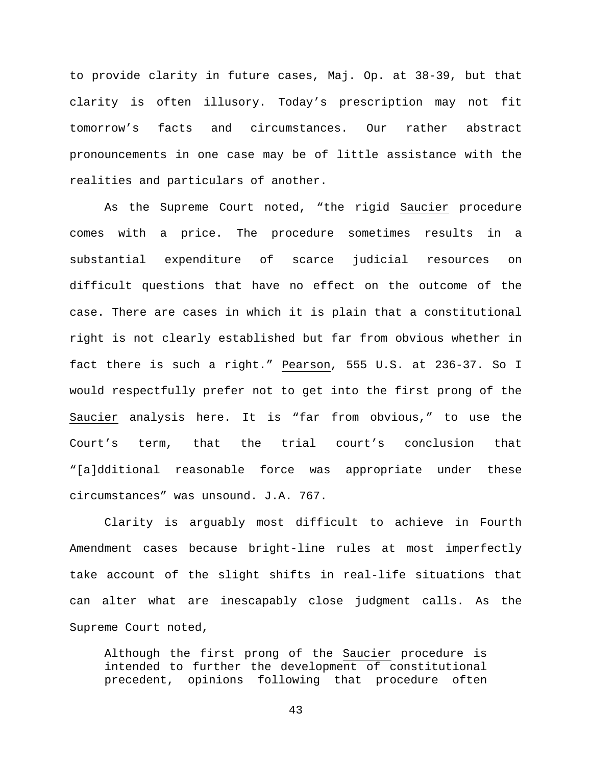to provide clarity in future cases, Maj. Op. at 38-39, but that clarity is often illusory. Today's prescription may not fit tomorrow's facts and circumstances. Our rather abstract pronouncements in one case may be of little assistance with the realities and particulars of another.

As the Supreme Court noted, "the rigid Saucier procedure comes with a price. The procedure sometimes results in a substantial expenditure of scarce judicial resources on difficult questions that have no effect on the outcome of the case. There are cases in which it is plain that a constitutional right is not clearly established but far from obvious whether in fact there is such a right." Pearson, 555 U.S. at 236-37. So I would respectfully prefer not to get into the first prong of the Saucier analysis here. It is "far from obvious," to use the Court's term, that the trial court's conclusion that "[a]dditional reasonable force was appropriate under these circumstances" was unsound. J.A. 767.

Clarity is arguably most difficult to achieve in Fourth Amendment cases because bright-line rules at most imperfectly take account of the slight shifts in real-life situations that can alter what are inescapably close judgment calls. As the Supreme Court noted,

Although the first prong of the Saucier procedure is intended to further the development of constitutional precedent, opinions following that procedure often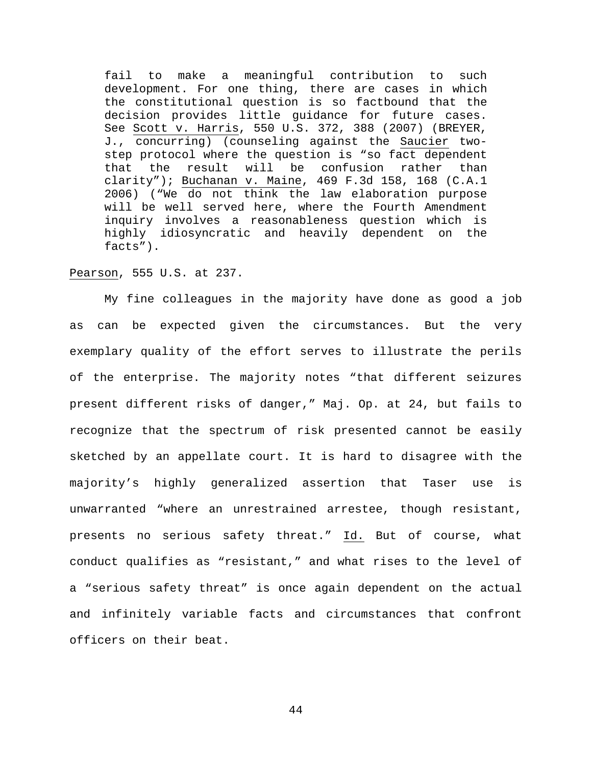fail to make a meaningful contribution to such development. For one thing, there are cases in which the constitutional question is so factbound that the decision provides little guidance for future cases. See Scott v. Harris, 550 U.S. 372, 388 (2007) (BREYER, J., concurring) (counseling against the Saucier twostep protocol where the question is "so fact dependent that the result will be confusion rather than clarity"); Buchanan v. Maine, 469 F.3d 158, 168 (C.A.1 2006) ("We do not think the law elaboration purpose will be well served here, where the Fourth Amendment inquiry involves a reasonableness question which is highly idiosyncratic and heavily dependent on the facts").

### Pearson, 555 U.S. at 237.

My fine colleagues in the majority have done as good a job as can be expected given the circumstances. But the very exemplary quality of the effort serves to illustrate the perils of the enterprise. The majority notes "that different seizures present different risks of danger," Maj. Op. at 24, but fails to recognize that the spectrum of risk presented cannot be easily sketched by an appellate court. It is hard to disagree with the majority's highly generalized assertion that Taser use is unwarranted "where an unrestrained arrestee, though resistant, presents no serious safety threat." Id. But of course, what conduct qualifies as "resistant," and what rises to the level of a "serious safety threat" is once again dependent on the actual and infinitely variable facts and circumstances that confront officers on their beat.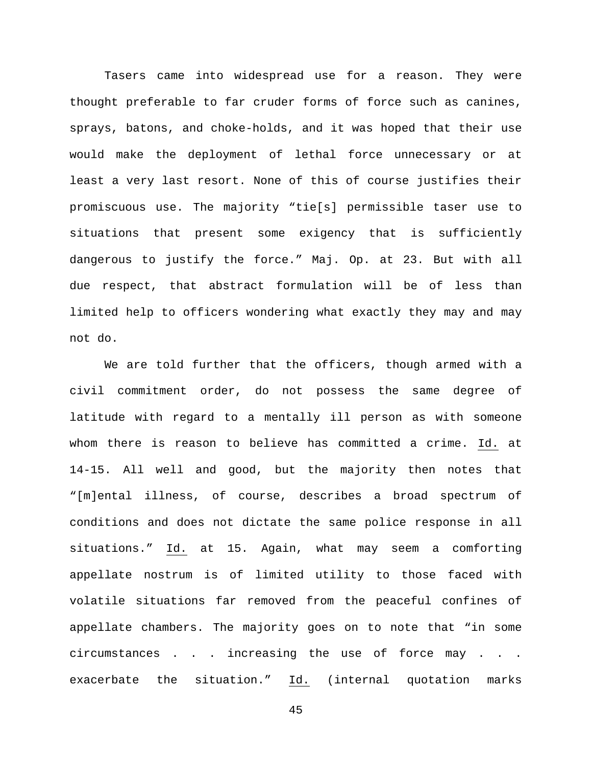Tasers came into widespread use for a reason. They were thought preferable to far cruder forms of force such as canines, sprays, batons, and choke-holds, and it was hoped that their use would make the deployment of lethal force unnecessary or at least a very last resort. None of this of course justifies their promiscuous use. The majority "tie[s] permissible taser use to situations that present some exigency that is sufficiently dangerous to justify the force." Maj. Op. at 23. But with all due respect, that abstract formulation will be of less than limited help to officers wondering what exactly they may and may not do.

We are told further that the officers, though armed with a civil commitment order, do not possess the same degree of latitude with regard to a mentally ill person as with someone whom there is reason to believe has committed a crime. Id. at 14-15. All well and good, but the majority then notes that "[m]ental illness, of course, describes a broad spectrum of conditions and does not dictate the same police response in all situations." Id. at 15. Again, what may seem a comforting appellate nostrum is of limited utility to those faced with volatile situations far removed from the peaceful confines of appellate chambers. The majority goes on to note that "in some circumstances . . . increasing the use of force may . . . exacerbate the situation." Id. (internal quotation marks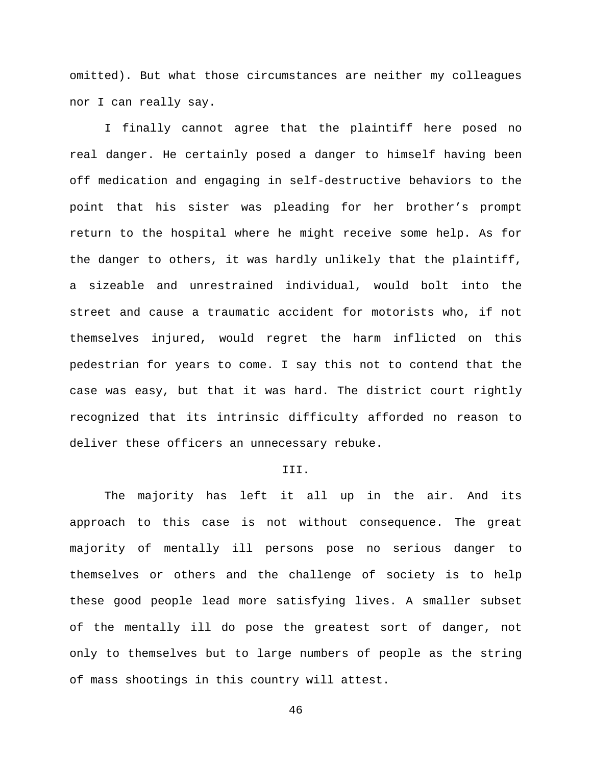omitted). But what those circumstances are neither my colleagues nor I can really say.

I finally cannot agree that the plaintiff here posed no real danger. He certainly posed a danger to himself having been off medication and engaging in self-destructive behaviors to the point that his sister was pleading for her brother's prompt return to the hospital where he might receive some help. As for the danger to others, it was hardly unlikely that the plaintiff, a sizeable and unrestrained individual, would bolt into the street and cause a traumatic accident for motorists who, if not themselves injured, would regret the harm inflicted on this pedestrian for years to come. I say this not to contend that the case was easy, but that it was hard. The district court rightly recognized that its intrinsic difficulty afforded no reason to deliver these officers an unnecessary rebuke.

#### III.

The majority has left it all up in the air. And its approach to this case is not without consequence. The great majority of mentally ill persons pose no serious danger to themselves or others and the challenge of society is to help these good people lead more satisfying lives. A smaller subset of the mentally ill do pose the greatest sort of danger, not only to themselves but to large numbers of people as the string of mass shootings in this country will attest.